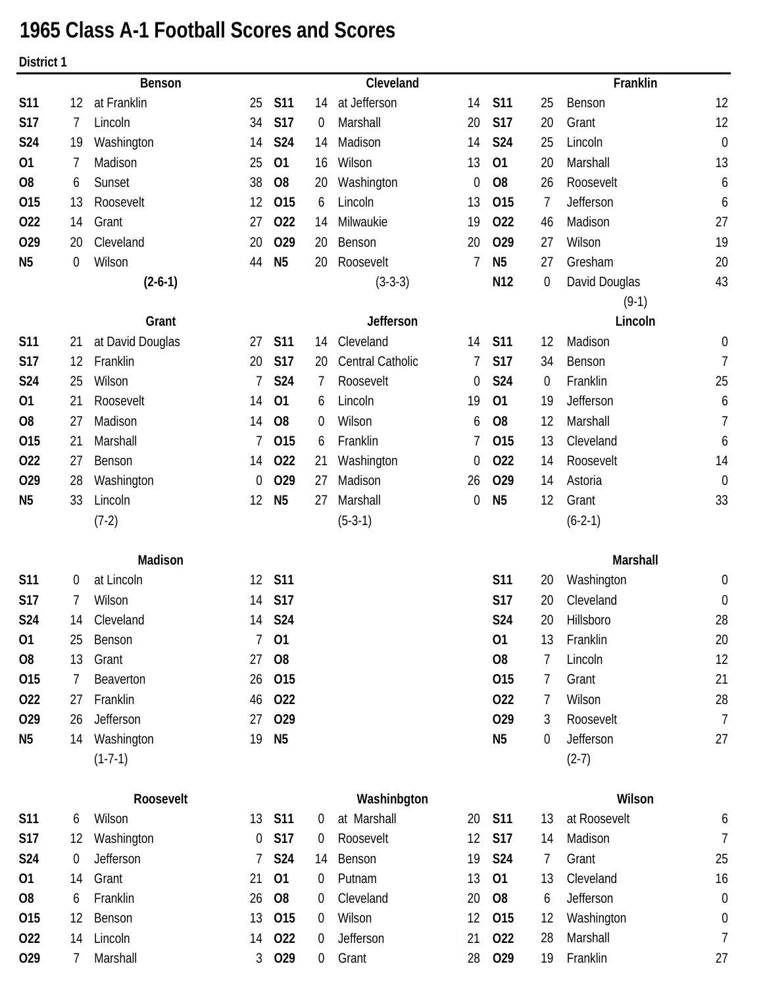# **1965 Class A-1 Football Scores and Scores**

**District 1**

|                |    | <b>Benson</b>    |    |                |                | Cleveland               |    |                 |                  | Franklin      |                  |
|----------------|----|------------------|----|----------------|----------------|-------------------------|----|-----------------|------------------|---------------|------------------|
| <b>S11</b>     | 12 | at Franklin      | 25 | <b>S11</b>     | 14             | at Jefferson            | 14 | <b>S11</b>      | 25               | Benson        | 12               |
| <b>S17</b>     | 7  | Lincoln          | 34 | <b>S17</b>     | 0              | Marshall                | 20 | <b>S17</b>      | 20               | Grant         | 12               |
| <b>S24</b>     | 19 | Washington       | 14 | <b>S24</b>     | 14             | Madison                 | 14 | S24             | 25               | Lincoln       | $\boldsymbol{0}$ |
| 01             | 7  | Madison          | 25 | 01             | 16             | Wilson                  | 13 | 01              | 20               | Marshall      | 13               |
| O <sub>8</sub> | 6  | Sunset           | 38 | O <sub>8</sub> | 20             | Washington              | 0  | O <sub>8</sub>  | 26               | Roosevelt     | 6                |
| 015            | 13 | Roosevelt        | 12 | 015            | 6              | Lincoln                 | 13 | 015             | 7                | Jefferson     | 6                |
| 022            | 14 | Grant            | 27 | 022            | 14             | Milwaukie               | 19 | 022             | 46               | Madison       | 27               |
| 029            | 20 | Cleveland        | 20 | 029            | 20             | Benson                  | 20 | 029             | 27               | Wilson        | 19               |
| N <sub>5</sub> | 0  | Wilson           | 44 | N <sub>5</sub> | 20             | Roosevelt               | 7  | N <sub>5</sub>  | 27               | Gresham       | 20               |
|                |    | $(2-6-1)$        |    |                |                | $(3-3-3)$               |    | N <sub>12</sub> | $\boldsymbol{0}$ | David Douglas | 43               |
|                |    |                  |    |                |                |                         |    |                 |                  | $(9-1)$       |                  |
|                |    | Grant            |    |                |                | Jefferson               |    |                 |                  | Lincoln       |                  |
| <b>S11</b>     | 21 | at David Douglas | 27 | <b>S11</b>     | 14             | Cleveland               | 14 | <b>S11</b>      | 12               | Madison       | 0                |
| <b>S17</b>     | 12 | Franklin         | 20 | <b>S17</b>     | 20             | <b>Central Catholic</b> | 7  | <b>S17</b>      | 34               | Benson        | $\overline{1}$   |
| <b>S24</b>     | 25 | Wilson           | 7  | <b>S24</b>     | 7              | Roosevelt               | 0  | S24             | 0                | Franklin      | 25               |
| 01             | 21 | Roosevelt        | 14 | 01             | 6              | Lincoln                 | 19 | 01              | 19               | Jefferson     | 6                |
| O <sub>8</sub> | 27 | Madison          | 14 | O <sub>8</sub> | 0              | Wilson                  | 6  | O <sub>8</sub>  | 12               | Marshall      | 7                |
| 015            | 21 | Marshall         | 7  | 015            | 6              | Franklin                | 7  | 015             | 13               | Cleveland     | 6                |
| 022            | 27 | Benson           | 14 | 022            | 21             | Washington              | 0  | 022             | 14               | Roosevelt     | 14               |
| 029            | 28 | Washington       | 0  | 029            | 27             | Madison                 | 26 | 029             | 14               | Astoria       | $\boldsymbol{0}$ |
| N <sub>5</sub> | 33 | Lincoln          | 12 | N <sub>5</sub> | 27             | Marshall                | 0  | N <sub>5</sub>  | 12               | Grant         | 33               |
|                |    | $(7-2)$          |    |                |                | $(5-3-1)$               |    |                 |                  | $(6-2-1)$     |                  |
|                |    | Madison          |    |                |                |                         |    |                 |                  | Marshall      |                  |
| <b>S11</b>     | 0  | at Lincoln       | 12 | <b>S11</b>     |                |                         |    | <b>S11</b>      | 20               | Washington    | 0                |
| <b>S17</b>     | 7  | Wilson           | 14 | <b>S17</b>     |                |                         |    | <b>S17</b>      | 20               | Cleveland     | $\boldsymbol{0}$ |
| S24            | 14 | Cleveland        | 14 | S24            |                |                         |    | <b>S24</b>      | 20               | Hillsboro     | 28               |
| 01             | 25 | Benson           | 7  | 01             |                |                         |    | 01              | 13               | Franklin      | 20               |
| O <sub>8</sub> | 13 | Grant            | 27 | O <sub>8</sub> |                |                         |    | O <sub>8</sub>  | 7                | Lincoln       | 12               |
| 015            | 7  | Beaverton        | 26 | 015            |                |                         |    | 015             | 7                | Grant         | 21               |
| 022            | 27 | Franklin         | 46 | 022            |                |                         |    | 022             | 7                | Wilson        | 28               |
| 029            | 26 | Jefferson        | 27 | 029            |                |                         |    | 029             | 3                | Roosevelt     | $\overline{7}$   |
| N <sub>5</sub> | 14 | Washington       | 19 | N <sub>5</sub> |                |                         |    | N <sub>5</sub>  | 0                | Jefferson     | 27               |
|                |    | $(1-7-1)$        |    |                |                |                         |    |                 |                  | $(2-7)$       |                  |
|                |    | Roosevelt        |    |                |                | Washinbgton             |    |                 |                  | Wilson        |                  |
| <b>S11</b>     | 6  | Wilson           | 13 | <b>S11</b>     | $\overline{0}$ | at Marshall             | 20 | <b>S11</b>      | 13               | at Roosevelt  | 6                |
| <b>S17</b>     | 12 | Washington       | 0  | <b>S17</b>     | $\overline{0}$ | Roosevelt               | 12 | <b>S17</b>      | 14               | Madison       | 7                |
| S24            | 0  | Jefferson        | 7  | <b>S24</b>     | 14             | Benson                  | 19 | <b>S24</b>      | 7                | Grant         | 25               |
| 01             | 14 | Grant            | 21 | 01             | 0              | Putnam                  | 13 | 01              | 13               | Cleveland     | 16               |
| O <sub>8</sub> | 6  | Franklin         | 26 | O <sub>8</sub> | 0              | Cleveland               | 20 | O <sub>8</sub>  | 6                | Jefferson     | $\boldsymbol{0}$ |
| 015            | 12 | Benson           | 13 | 015            | $\overline{0}$ | Wilson                  | 12 | 015             | 12               | Washington    | 0                |
| 022            | 14 | Lincoln          | 14 | 022            | $\overline{0}$ | Jefferson               | 21 | 022             | 28               | Marshall      | 7                |

**O29** 7 Marshall 3 **O29** 0 Grant 28 **O29** 19 Franklin 27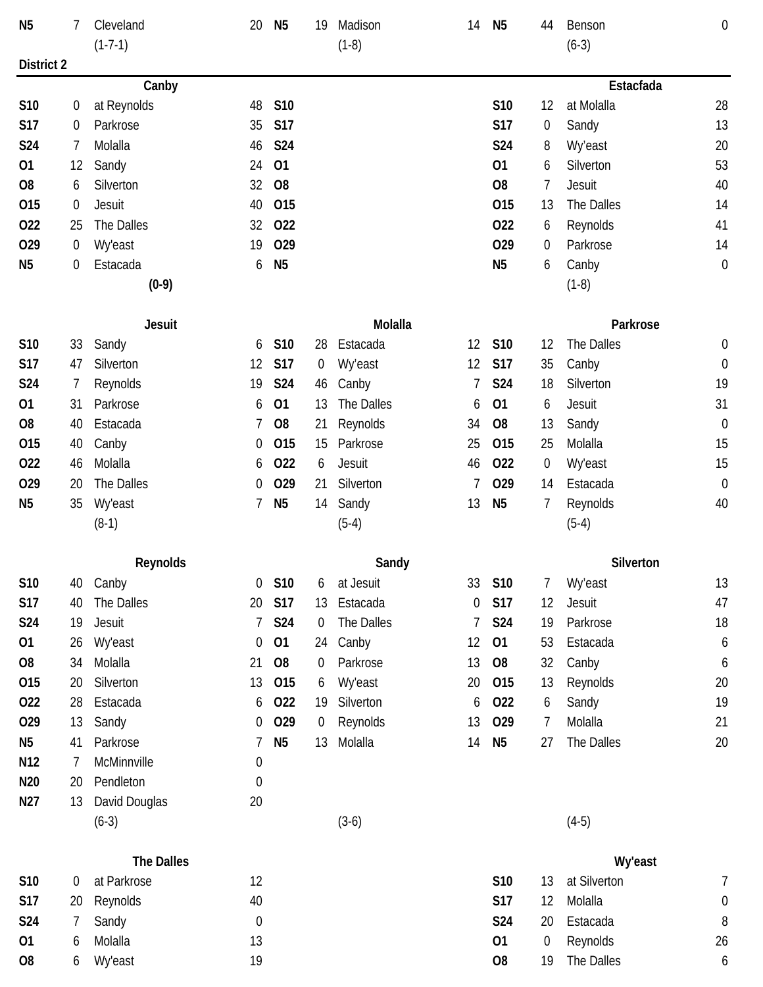| N <sub>5</sub>  | 7                | Cleveland            | 20               | N <sub>5</sub> | 19             | Madison        | 14 | N <sub>5</sub> | 44 | Benson         | $\boldsymbol{0}$ |
|-----------------|------------------|----------------------|------------------|----------------|----------------|----------------|----|----------------|----|----------------|------------------|
|                 |                  | $(1-7-1)$            |                  |                |                | $(1-8)$        |    |                |    | $(6-3)$        |                  |
| District 2      |                  |                      |                  |                |                |                |    |                |    | Estacfada      |                  |
| S10             | 0                | Canby<br>at Reynolds | 48               | S10            |                |                |    | S10            | 12 | at Molalla     | 28               |
| <b>S17</b>      | 0                | Parkrose             | 35               | <b>S17</b>     |                |                |    | <b>S17</b>     | 0  | Sandy          | 13               |
| S24             | 7                | Molalla              | 46               | S24            |                |                |    | <b>S24</b>     | 8  | Wy'east        | 20               |
| 01              | 12               | Sandy                | 24               | 01             |                |                |    | 01             | 6  | Silverton      | 53               |
| O <sub>8</sub>  | 6                | Silverton            | 32               | O <sub>8</sub> |                |                |    | O <sub>8</sub> | 7  | Jesuit         | 40               |
| 015             | $\boldsymbol{0}$ | <b>Jesuit</b>        | 40               | 015            |                |                |    | 015            | 13 | The Dalles     | 14               |
| 022             | 25               | The Dalles           | 32               | 022            |                |                |    | 022            | 6  | Reynolds       | 41               |
| 029             | $\boldsymbol{0}$ | <b>Wy'east</b>       | 19               | 029            |                |                |    | 029            | 0  | Parkrose       | 14               |
| N <sub>5</sub>  |                  | Estacada             |                  |                |                |                |    | N <sub>5</sub> |    |                |                  |
|                 | 0                |                      | 6                | N <sub>5</sub> |                |                |    |                | 6  | Canby          | $\mathbf 0$      |
|                 |                  | $(0-9)$              |                  |                |                |                |    |                |    | $(1-8)$        |                  |
|                 |                  | <b>Jesuit</b>        |                  |                |                | Molalla        |    |                |    | Parkrose       |                  |
| S10             | 33               | Sandy                | 6                | S10            | 28             | Estacada       | 12 | S10            | 12 | The Dalles     | 0                |
| <b>S17</b>      | 47               | Silverton            | 12               | <b>S17</b>     | $\overline{0}$ | Wy'east        | 12 | <b>S17</b>     | 35 | Canby          | $\boldsymbol{0}$ |
| <b>S24</b>      | 7                | Reynolds             | 19               | <b>S24</b>     | 46             | Canby          |    | <b>S24</b>     | 18 | Silverton      | 19               |
| 01              | 31               | Parkrose             | 6                | 01             | 13             | The Dalles     | 6  | 01             | 6  | Jesuit         | 31               |
| O <sub>8</sub>  | 40               | Estacada             | 7                | O <sub>8</sub> | 21             | Reynolds       | 34 | O <sub>8</sub> | 13 | Sandy          | $\boldsymbol{0}$ |
| 015             | 40               | Canby                | 0                | 015            | 15             | Parkrose       | 25 | 015            | 25 | Molalla        | 15               |
| 022             | 46               | Molalla              | 6                | 022            | 6              | Jesuit         | 46 | 022            | 0  | <b>Wy'east</b> | 15               |
| 029             | 20               | The Dalles           | 0                | 029            | 21             | Silverton      | 7  | 029            | 14 | Estacada       | $\boldsymbol{0}$ |
| N <sub>5</sub>  | 35               | <b>Wy'east</b>       | 7                | N <sub>5</sub> | 14             | Sandy          | 13 | N <sub>5</sub> | 7  | Reynolds       | 40               |
|                 |                  | $(8-1)$              |                  |                |                | $(5-4)$        |    |                |    | $(5-4)$        |                  |
|                 |                  | Reynolds             |                  |                |                | Sandy          |    |                |    | Silverton      |                  |
| S10             | 40               | Canby                | $\overline{0}$   | S10            | 6              | at Jesuit      | 33 | S10            | 7  | Wy'east        | 13               |
| <b>S17</b>      | 40               | The Dalles           | 20               | <b>S17</b>     | 13             | Estacada       | 0  | <b>S17</b>     | 12 | Jesuit         | 47               |
| S24             | 19               | Jesuit               | 7                | <b>S24</b>     | $\overline{0}$ | The Dalles     |    | <b>S24</b>     | 19 | Parkrose       | 18               |
| 01              | 26               | <b>Wy'east</b>       | $\boldsymbol{0}$ | 01             | 24             | Canby          | 12 | 01             | 53 | Estacada       | 6                |
| O <sub>8</sub>  | 34               | Molalla              | 21               | O <sub>8</sub> | $\overline{0}$ | Parkrose       | 13 | <b>O8</b>      | 32 | Canby          | 6                |
| 015             | 20               | Silverton            | 13               | 015            | 6              | <b>Wy'east</b> | 20 | 015            | 13 | Reynolds       | 20               |
| 022             | 28               | Estacada             | 6                | 022            | 19             | Silverton      | 6  | 022            | 6  | Sandy          | 19               |
| 029             | 13               | Sandy                | 0                | 029            | $\overline{0}$ | Reynolds       | 13 | 029            | 7  | Molalla        | 21               |
| N <sub>5</sub>  | 41               | Parkrose             | 7                | N <sub>5</sub> | 13             | Molalla        | 14 | N <sub>5</sub> | 27 | The Dalles     | 20               |
| N <sub>12</sub> | 7                | McMinnville          | $\boldsymbol{0}$ |                |                |                |    |                |    |                |                  |
| N <sub>20</sub> | 20               | Pendleton            | $\boldsymbol{0}$ |                |                |                |    |                |    |                |                  |
| N27             | 13               | David Douglas        | 20               |                |                |                |    |                |    |                |                  |
|                 |                  | $(6-3)$              |                  |                |                | $(3-6)$        |    |                |    | $(4-5)$        |                  |
|                 |                  |                      |                  |                |                |                |    |                |    |                |                  |
|                 |                  | The Dalles           |                  |                |                |                |    |                |    | Wy'east        |                  |
| S10             | $\overline{0}$   | at Parkrose          | 12               |                |                |                |    | S10            | 13 | at Silverton   | 7                |
| <b>S17</b>      | 20               | Reynolds             | 40               |                |                |                |    | S17            | 12 | Molalla        | 0                |
| <b>S24</b>      | $\overline{7}$   | Sandy                | $\boldsymbol{0}$ |                |                |                |    | S24            | 20 | Estacada       | 8                |

**O1** 6 Molalla 13 **O1** 0 Reynolds 26 **O8** 6 Wy'east 19 **O8** 19 The Dalles 6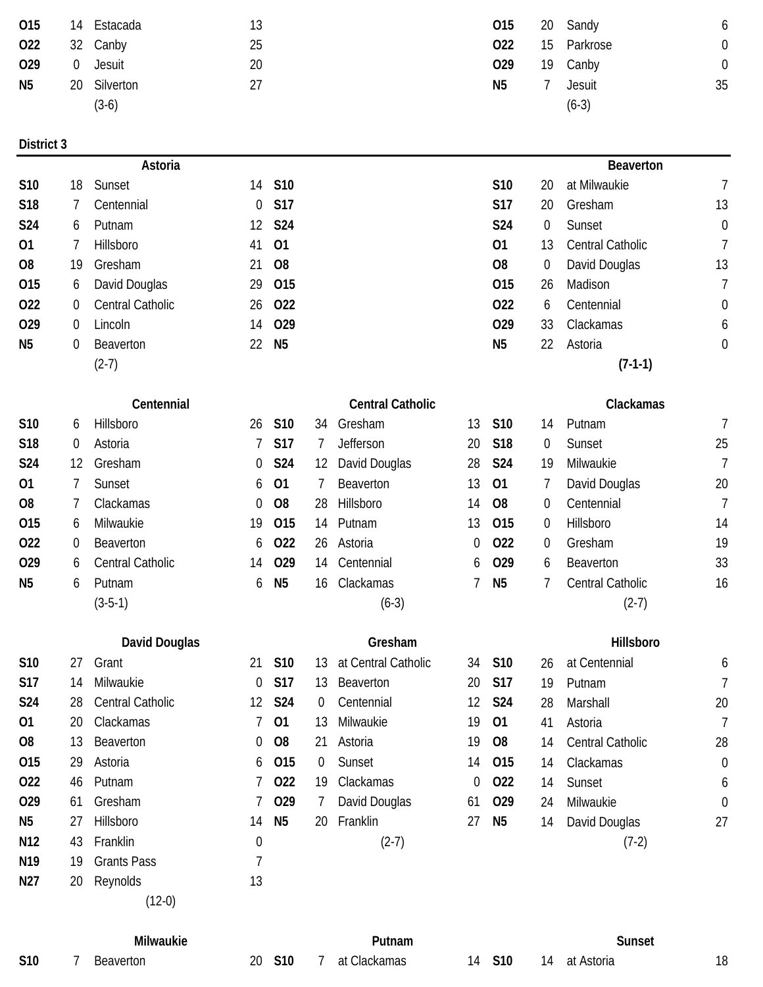| 015            |                | 14 Estacada  | 13 | 015            | 20 Sandy      |    |
|----------------|----------------|--------------|----|----------------|---------------|----|
| 022            |                | 32 Canby     | 25 | 022            | 15 Parkrose   |    |
| 029            | $\overline{0}$ | Jesuit       | 20 | 029            | 19 Canby      |    |
| N <sub>5</sub> |                | 20 Silverton | 27 | N <sub>5</sub> | <b>Jesuit</b> | 35 |
|                |                | $(3-6)$      |    |                | $(6-3)$       |    |

|     | OI5 14 ESIACAQA | -13 |     | UI5 20 Sandy | O              |
|-----|-----------------|-----|-----|--------------|----------------|
| 022 | 32 Canby        | 25  | 022 | 15 Parkrose  | $\overline{0}$ |
| 029 | 0 Jesuit        | 20  | 029 | 19 Canby     | $\overline{0}$ |
| N5  | 20 Silverton    | 27  | N5  | Jesuit       | 35             |
|     | $(3-6)$         |     |     | $(6-3)$      |                |

|                 |    | Astoria              |                |                |    |                         |    |                 |    | <b>Beaverton</b> |                  |
|-----------------|----|----------------------|----------------|----------------|----|-------------------------|----|-----------------|----|------------------|------------------|
| S10             | 18 | Sunset               | 14             | <b>S10</b>     |    |                         |    | <b>S10</b>      | 20 | at Milwaukie     | $\overline{7}$   |
| S18             | 7  | Centennial           | $\overline{0}$ | <b>S17</b>     |    |                         |    | <b>S17</b>      | 20 | Gresham          | 13               |
| S24             | 6  | Putnam               | 12             | <b>S24</b>     |    |                         |    | <b>S24</b>      | 0  | Sunset           | $\mathbf 0$      |
| 01              | 7  | Hillsboro            | 41             | 01             |    |                         |    | 01              | 13 | Central Catholic | 7                |
| O <sub>8</sub>  | 19 | Gresham              | 21             | O <sub>8</sub> |    |                         |    | O <sub>8</sub>  | 0  | David Douglas    | 13               |
| 015             | 6  | David Douglas        | 29             | 015            |    |                         |    | 015             | 26 | Madison          | $\overline{1}$   |
| 022             | 0  | Central Catholic     | 26             | 022            |    |                         |    | 022             | 6  | Centennial       | $\boldsymbol{0}$ |
| 029             | 0  | Lincoln              | 14             | 029            |    |                         |    | 029             | 33 | Clackamas        | 6                |
| N <sub>5</sub>  | 0  | Beaverton            | 22             | N <sub>5</sub> |    |                         |    | N <sub>5</sub>  | 22 | Astoria          | $\boldsymbol{0}$ |
|                 |    | $(2-7)$              |                |                |    |                         |    |                 |    | $(7-1-1)$        |                  |
|                 |    | Centennial           |                |                |    | <b>Central Catholic</b> |    |                 |    | Clackamas        |                  |
| S <sub>10</sub> | 6  | Hillsboro            | 26             | S10            | 34 | Gresham                 | 13 | S10             | 14 | Putnam           | 7                |
| S18             | 0  | Astoria              |                | <b>S17</b>     | 7  | Jefferson               | 20 | S <sub>18</sub> | 0  | Sunset           | 25               |
| S24             | 12 | Gresham              | 0              | S24            | 12 | David Douglas           | 28 | <b>S24</b>      | 19 | Milwaukie        | $\overline{1}$   |
| 01              | 7  | Sunset               | 6              | 01             |    | Beaverton               | 13 | 01              | 7  | David Douglas    | 20               |
| O <sub>8</sub>  | 7  | Clackamas            | 0              | O <sub>8</sub> | 28 | Hillsboro               | 14 | O <sub>8</sub>  | 0  | Centennial       | $\overline{1}$   |
| 015             | 6  | Milwaukie            | 19             | 015            | 14 | Putnam                  | 13 | 015             | 0  | Hillsboro        | 14               |
| 022             | 0  | Beaverton            | 6              | 022            | 26 | Astoria                 | 0  | 022             | 0  | Gresham          | 19               |
| 029             | 6  | Central Catholic     | 14             | 029            | 14 | Centennial              | 6  | 029             | 6  | Beaverton        | 33               |
| N <sub>5</sub>  | 6  | Putnam               | 6              | N <sub>5</sub> | 16 | Clackamas               | 7  | N <sub>5</sub>  | 7  | Central Catholic | 16               |
|                 |    | $(3-5-1)$            |                |                |    | $(6-3)$                 |    |                 |    | $(2-7)$          |                  |
|                 |    | <b>David Douglas</b> |                |                |    | Gresham                 |    |                 |    | <b>Hillsboro</b> |                  |

| <b>S10</b>      | 27 | Grant                   | 21             | <b>S10</b>     | 13.            | at Central Catholic | 34              | <b>S10</b>      | 26 | at Centennial           | t  |
|-----------------|----|-------------------------|----------------|----------------|----------------|---------------------|-----------------|-----------------|----|-------------------------|----|
| <b>S17</b>      | 14 | Milwaukie               | $\overline{0}$ | S17            | 13             | Beaverton           | 20              | S17             | 19 | Putnam                  |    |
| S <sub>24</sub> | 28 | <b>Central Catholic</b> |                | 12 <b>S24</b>  | $\overline{0}$ | Centennial          | 12 <sup>°</sup> | <b>S24</b>      | 28 | Marshall                | 20 |
| 01              | 20 | Clackamas               |                | 7 01           | 13             | Milwaukie           | 19              | 01              | 41 | Astoria                 |    |
| O <sub>8</sub>  | 13 | Beaverton               | $\Omega$       | <b>O8</b>      | 21             | Astoria             | 19              | O <sub>8</sub>  | 14 | <b>Central Catholic</b> | 28 |
| 015             | 29 | Astoria                 |                | 6 015          | $\Omega$       | Sunset              | 14              | 015             | 14 | Clackamas               | C  |
| 022             | 46 | Putnam                  |                | 7 022          | 19             | Clackamas           | $\overline{0}$  | 022             | 14 | Sunset                  | Ć  |
| O <sub>29</sub> | 61 | Gresham                 |                | 7 029          | 7              | David Douglas       | 61              | O <sub>29</sub> | 24 | Milwaukie               | С  |
| N <sub>5</sub>  | 27 | Hillsboro               | 14             | N <sub>5</sub> | 20             | Franklin            | 27              | N <sub>5</sub>  | 14 | David Douglas           | 27 |
| N <sub>12</sub> | 43 | Franklin                | 0              |                |                | $(2-7)$             |                 |                 |    | $(7-2)$                 |    |
| N <sub>19</sub> | 19 | <b>Grants Pass</b>      |                |                |                |                     |                 |                 |    |                         |    |
| N27             | 20 | Reynolds                | 13             |                |                |                     |                 |                 |    |                         |    |
|                 |    | $(12-0)$                |                |                |                |                     |                 |                 |    |                         |    |

|  | avid Douglas |
|--|--------------|
|--|--------------|

| Milwaukie |     | Sunset       |     |                  |
|-----------|-----|--------------|-----|------------------|
| n n       | C10 | at Claskames | C10 | ot Actoria<br>11 |



**S10** 27 Grant 21 **S10** 13 at Central Catholic 34 **S10** 26 at Centennial 6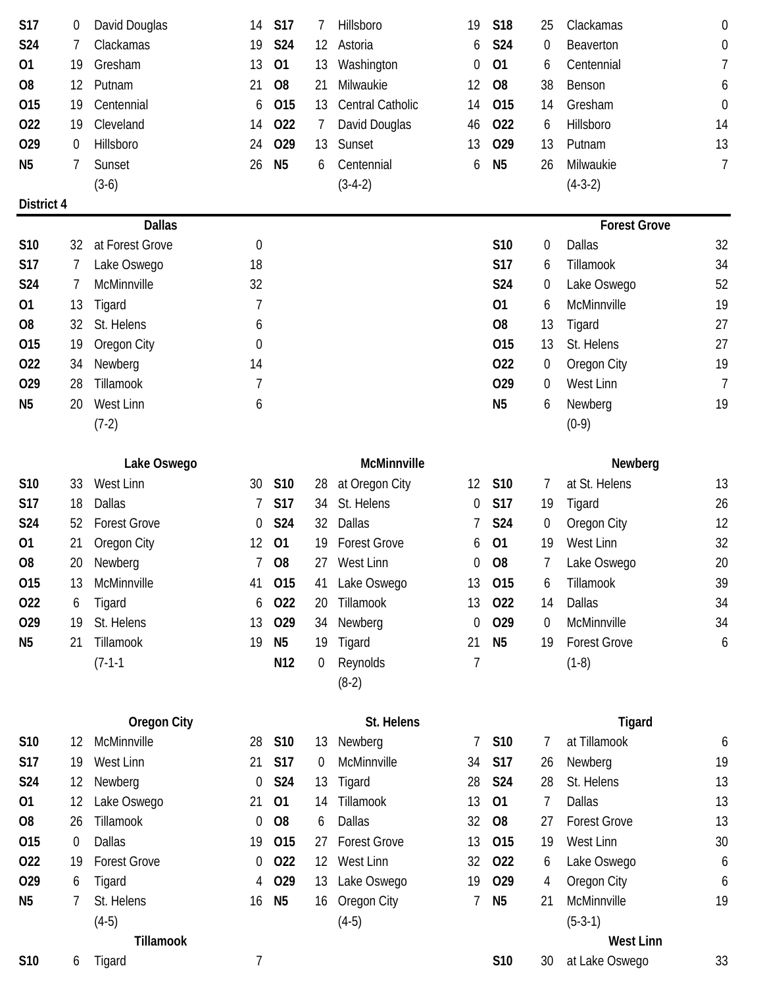| S17            | 0  | David Douglas       | 14               | <b>S17</b>      | 7              | Hillsboro           | 19 | <b>S18</b>     | 25             | Clackamas           | 0                |
|----------------|----|---------------------|------------------|-----------------|----------------|---------------------|----|----------------|----------------|---------------------|------------------|
| <b>S24</b>     | 7  | Clackamas           | 19               | <b>S24</b>      | 12             | Astoria             | 6  | S24            | 0              | Beaverton           | $\boldsymbol{0}$ |
| 01             | 19 | Gresham             | 13               | 01              | 13             | Washington          | 0  | 01             | 6              | Centennial          | 7                |
| O <sub>8</sub> | 12 | Putnam              | 21               | O <sub>8</sub>  | 21             | Milwaukie           | 12 | O <sub>8</sub> | 38             | Benson              | 6                |
| 015            | 19 | Centennial          | 6                | 015             | 13             | Central Catholic    | 14 | 015            | 14             | Gresham             | $\mathbf 0$      |
| 022            | 19 | Cleveland           | 14               | 022             | $\overline{1}$ | David Douglas       | 46 | 022            | 6              | Hillsboro           | 14               |
| 029            | 0  | Hillsboro           | 24               | 029             | 13             | Sunset              | 13 | 029            | 13             | Putnam              | 13               |
| N <sub>5</sub> | 7  | Sunset              | 26               | N <sub>5</sub>  | 6              | Centennial          | 6  | N <sub>5</sub> | 26             | Milwaukie           | $\overline{1}$   |
|                |    | $(3-6)$             |                  |                 |                | $(3-4-2)$           |    |                |                | $(4-3-2)$           |                  |
| District 4     |    |                     |                  |                 |                |                     |    |                |                |                     |                  |
|                |    | <b>Dallas</b>       |                  |                 |                |                     |    |                |                | <b>Forest Grove</b> |                  |
| S10            | 32 | at Forest Grove     | $\boldsymbol{0}$ |                 |                |                     |    | S10            | 0              | Dallas              | 32               |
| <b>S17</b>     | 7  | Lake Oswego         | 18               |                 |                |                     |    | <b>S17</b>     | 6              | Tillamook           | 34               |
| S24            | 7  | McMinnville         | 32               |                 |                |                     |    | S24            | 0              | Lake Oswego         | 52               |
| 01             | 13 | Tigard              | 7                |                 |                |                     |    | 01             | 6              | McMinnville         | 19               |
| O <sub>8</sub> | 32 | St. Helens          | 6                |                 |                |                     |    | O <sub>8</sub> | 13             | Tigard              | 27               |
| 015            | 19 | Oregon City         | 0                |                 |                |                     |    | 015            | 13             | St. Helens          | 27               |
| 022            | 34 | Newberg             | 14               |                 |                |                     |    | 022            | $\theta$       | <b>Oregon City</b>  | 19               |
| 029            | 28 | Tillamook           | 7                |                 |                |                     |    | 029            | 0              | West Linn           | $\overline{7}$   |
| N <sub>5</sub> | 20 | West Linn           | 6                |                 |                |                     |    | N <sub>5</sub> | 6              | Newberg             | 19               |
|                |    | $(7-2)$             |                  |                 |                |                     |    |                |                | $(0-9)$             |                  |
|                |    |                     |                  |                 |                |                     |    |                |                |                     |                  |
|                |    | Lake Oswego         |                  |                 |                | McMinnville         |    |                |                | Newberg             |                  |
| S10            | 33 | West Linn           | 30               | S <sub>10</sub> | 28             | at Oregon City      | 12 | S10            | $\prime$       | at St. Helens       | 13               |
| S17            | 18 | <b>Dallas</b>       | 7                | <b>S17</b>      | 34             | St. Helens          | 0  | <b>S17</b>     | 19             | Tigard              | 26               |
| S24            | 52 | <b>Forest Grove</b> | 0                | <b>S24</b>      | 32             | Dallas              |    | S24            | 0              | <b>Oregon City</b>  | 12               |
| 01             | 21 | Oregon City         | 12               | 01              | 19             | <b>Forest Grove</b> | 6  | 01             | 19             | West Linn           | 32               |
| O <sub>8</sub> | 20 | Newberg             | 7                | O <sub>8</sub>  | 27             | West Linn           | 0  | O <sub>8</sub> | 7              | Lake Oswego         | 20               |
| 015            | 13 | McMinnville         | 41               | 015             | 41             | Lake Oswego         | 13 | 015            | 6              | Tillamook           | 39               |
| 022            | 6  | Tigard              | 6                | 022             | 20             | Tillamook           | 13 | 022            | 14             | Dallas              | 34               |
| 029            | 19 | St. Helens          | 13               | 029             | 34             | Newberg             | 0  | 029            | $\overline{0}$ | McMinnville         | 34               |
| N <sub>5</sub> | 21 | Tillamook           | 19               | N <sub>5</sub>  | 19             | Tigard              | 21 | N <sub>5</sub> | 19             | <b>Forest Grove</b> | 6                |
|                |    | $(7-1-1)$           |                  | N12             | 0              | Reynolds            | 7  |                |                | $(1-8)$             |                  |
|                |    |                     |                  |                 |                | $(8-2)$             |    |                |                |                     |                  |
|                |    |                     |                  |                 |                |                     |    |                |                |                     |                  |
|                |    | <b>Oregon City</b>  |                  |                 |                | St. Helens          |    |                |                | <b>Tigard</b>       |                  |
| S10            | 12 | McMinnville         | 28               | S10             | 13             | Newberg             | 7  | S10            | 7              | at Tillamook        | 6                |
| S17            | 19 | West Linn           | 21               | <b>S17</b>      | 0              | McMinnville         | 34 | <b>S17</b>     | 26             | Newberg             | 19               |
| S24            | 12 | Newberg             | 0                | <b>S24</b>      | 13             | Tigard              | 28 | <b>S24</b>     | 28             | St. Helens          | 13               |
| 01             | 12 | Lake Oswego         | 21               | 01              | 14             | Tillamook           | 13 | 01             | 7              | <b>Dallas</b>       | 13               |
| O <sub>8</sub> | 26 | Tillamook           | 0                | O <sub>8</sub>  | 6              | Dallas              | 32 | O <sub>8</sub> | 27             | <b>Forest Grove</b> | 13               |
| 015            | 0  | <b>Dallas</b>       | 19               | 015             | 27             | <b>Forest Grove</b> | 13 | 015            | 19             | West Linn           | 30               |
| 022            | 19 | <b>Forest Grove</b> | 0                | 022             | 12             | West Linn           | 32 | 022            | 6              | Lake Oswego         | 6                |
| 029            | 6  | Tigard              | 4                | 029             | 13             | Lake Oswego         | 19 | 029            | 4              | Oregon City         | 6                |
| N <sub>5</sub> | 7  | St. Helens          | 16               | N <sub>5</sub>  | 16             | Oregon City         | 7  | N <sub>5</sub> | 21             | McMinnville         | 19               |
|                |    | $(4-5)$             |                  |                 |                | $(4-5)$             |    |                |                | $(5-3-1)$           |                  |
|                |    | Tillamook           |                  |                 |                |                     |    |                |                | <b>West Linn</b>    |                  |
| S10            | 6  | Tigard              | 7                |                 |                |                     |    | S10            | 30             | at Lake Oswego      | 33               |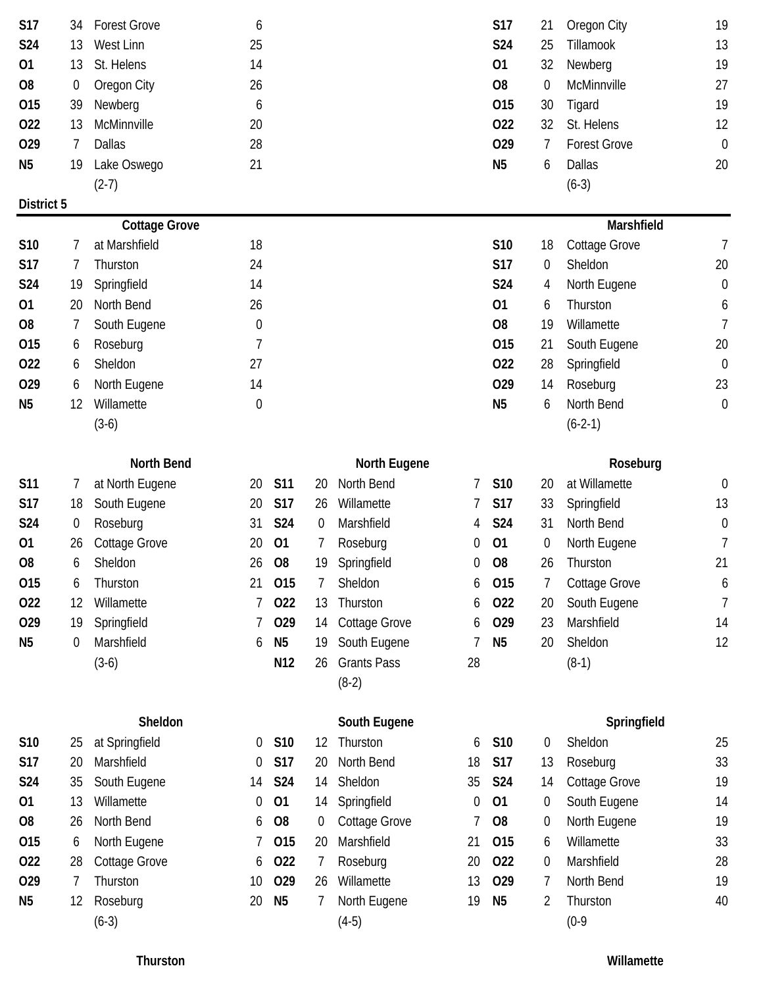| S17            | 34             | <b>Forest Grove</b>  | 6                |                |                   |                     |    | S17            | 21               | Oregon City          | 19               |
|----------------|----------------|----------------------|------------------|----------------|-------------------|---------------------|----|----------------|------------------|----------------------|------------------|
| S24            | 13             | West Linn            | 25               |                |                   |                     |    | S24            | 25               | Tillamook            | 13               |
| 01             | 13             | St. Helens           | 14               |                |                   |                     |    | 01             | 32               | Newberg              | 19               |
| O <sub>8</sub> | 0              | Oregon City          | 26               |                |                   |                     |    | O <sub>8</sub> | $\mathbf 0$      | McMinnville          | 27               |
| 015            | 39             | Newberg              | 6                |                |                   |                     |    | 015            | 30               | Tigard               | 19               |
| 022            | 13             | McMinnville          | 20               |                |                   |                     |    | 022            | 32               | St. Helens           | 12               |
| 029            | $\overline{7}$ | <b>Dallas</b>        | 28               |                |                   |                     |    | 029            | 7                | <b>Forest Grove</b>  | $\boldsymbol{0}$ |
| N <sub>5</sub> | 19             | Lake Oswego          | 21               |                |                   |                     |    | N <sub>5</sub> | 6                | <b>Dallas</b>        | 20               |
|                |                | $(2-7)$              |                  |                |                   |                     |    |                |                  | $(6-3)$              |                  |
| District 5     |                |                      |                  |                |                   |                     |    |                |                  |                      |                  |
|                |                | <b>Cottage Grove</b> |                  |                |                   |                     |    |                |                  | Marshfield           |                  |
| S10            | 7              | at Marshfield        | 18               |                |                   |                     |    | S10            | 18               | Cottage Grove        | 7                |
| <b>S17</b>     | 7              | Thurston             | 24               |                |                   |                     |    | <b>S17</b>     | $\boldsymbol{0}$ | Sheldon              | 20               |
| S24            | 19             | Springfield          | 14               |                |                   |                     |    | S24            | 4                | North Eugene         | $\boldsymbol{0}$ |
| 01             | 20             | North Bend           | 26               |                |                   |                     |    | 01             | 6                | Thurston             | 6                |
| O <sub>8</sub> | 7              | South Eugene         | $\boldsymbol{0}$ |                |                   |                     |    | O <sub>8</sub> | 19               | Willamette           | $\overline{1}$   |
| 015            | 6              | Roseburg             | $\overline{7}$   |                |                   |                     |    | 015            | 21               | South Eugene         | 20               |
| 022            | 6              | Sheldon              | 27               |                |                   |                     |    | 022            | 28               | Springfield          | $\boldsymbol{0}$ |
| 029            | 6              | North Eugene         | 14               |                |                   |                     |    | 029            | 14               | Roseburg             | 23               |
| N <sub>5</sub> | 12             | Willamette           | $\boldsymbol{0}$ |                |                   |                     |    | N <sub>5</sub> | 6                | North Bend           | $\theta$         |
|                |                | $(3-6)$              |                  |                |                   |                     |    |                |                  | $(6-2-1)$            |                  |
|                |                |                      |                  |                |                   |                     |    |                |                  |                      |                  |
|                |                | <b>North Bend</b>    |                  |                |                   | <b>North Eugene</b> |    |                |                  | Roseburg             |                  |
| S11            | 7              | at North Eugene      | 20               | <b>S11</b>     | 20                | North Bend          | 7  | S10            | 20               | at Willamette        | $\overline{0}$   |
| <b>S17</b>     | 18             | South Eugene         | 20               | <b>S17</b>     | 26                | Willamette          | 7  | <b>S17</b>     | 33               | Springfield          | 13               |
| <b>S24</b>     | 0              | Roseburg             | 31               | <b>S24</b>     | $\overline{0}$    | Marshfield          | 4  | S24            | 31               | North Bend           | 0                |
| 01             | 26             | Cottage Grove        | 20               | 01             |                   | Roseburg            | 0  | 01             | $\overline{0}$   | North Eugene         | 7                |
| O <sub>8</sub> | 6              | Sheldon              | 26               | O <sub>8</sub> | 19                | Springfield         | 0  | O <sub>8</sub> | 26               | Thurston             | 21               |
| 015            | 6              | Thurston             | 21               | 015            | 7                 | Sheldon             | 6  | 015            | 7                | <b>Cottage Grove</b> | 6                |
| 022            | 12             | Willamette           | 7                | 022            | 13                | Thurston            | 6  | 022            | 20               | South Eugene         | 7                |
| 029            | 19             | Springfield          | 7                | 029            | 14                | Cottage Grove       | 6  | 029            | 23               | Marshfield           | 14               |
| N <sub>5</sub> | 0              | Marshfield           | 6                | N <sub>5</sub> | 19                | South Eugene        |    | N <sub>5</sub> | 20               | Sheldon              | 12               |
|                |                | $(3-6)$              |                  | N12            | 26                | <b>Grants Pass</b>  | 28 |                |                  | $(8-1)$              |                  |
|                |                |                      |                  |                |                   | $(8-2)$             |    |                |                  |                      |                  |
|                |                |                      |                  |                |                   |                     |    |                |                  |                      |                  |
|                |                | Sheldon              |                  |                |                   | South Eugene        |    |                |                  | Springfield          |                  |
| S10            | 25             | at Springfield       | 0                | S10            | $12 \overline{ }$ | Thurston            | 6  | S10            | 0                | Sheldon              | 25               |
| <b>S17</b>     | 20             | Marshfield           | $\mathbf 0$      | <b>S17</b>     | 20                | North Bend          | 18 | <b>S17</b>     | 13               | Roseburg             | 33               |
| S24            | 35             | South Eugene         | 14               | <b>S24</b>     | 14                | Sheldon             | 35 | S24            | 14               | <b>Cottage Grove</b> | 19               |
| 01             | 13             | Willamette           | 0                | 01             | 14                | Springfield         | 0  | 01             | $\boldsymbol{0}$ | South Eugene         | 14               |
| O <sub>8</sub> | 26             | North Bend           | 6                | O <sub>8</sub> | 0                 | Cottage Grove       |    | O <sub>8</sub> | 0                | North Eugene         | 19               |
| 015            | 6              | North Eugene         |                  | 015            | 20                | Marshfield          | 21 | 015            | 6                | Willamette           | 33               |
| 022            | 28             | Cottage Grove        | 6                | 022            | 7                 | Roseburg            | 20 | 022            | $\theta$         | Marshfield           | 28               |
| 029            | 7              | Thurston             | 10               | 029            | 26                | Willamette          | 13 | 029            | 7                | North Bend           | 19               |
| N <sub>5</sub> | 12             | Roseburg             | 20               | N <sub>5</sub> | 7                 | North Eugene        | 19 | N <sub>5</sub> | 2                | Thurston             | 40               |
|                |                | $(6-3)$              |                  |                |                   | $(4-5)$             |    |                |                  | $(0-9)$              |                  |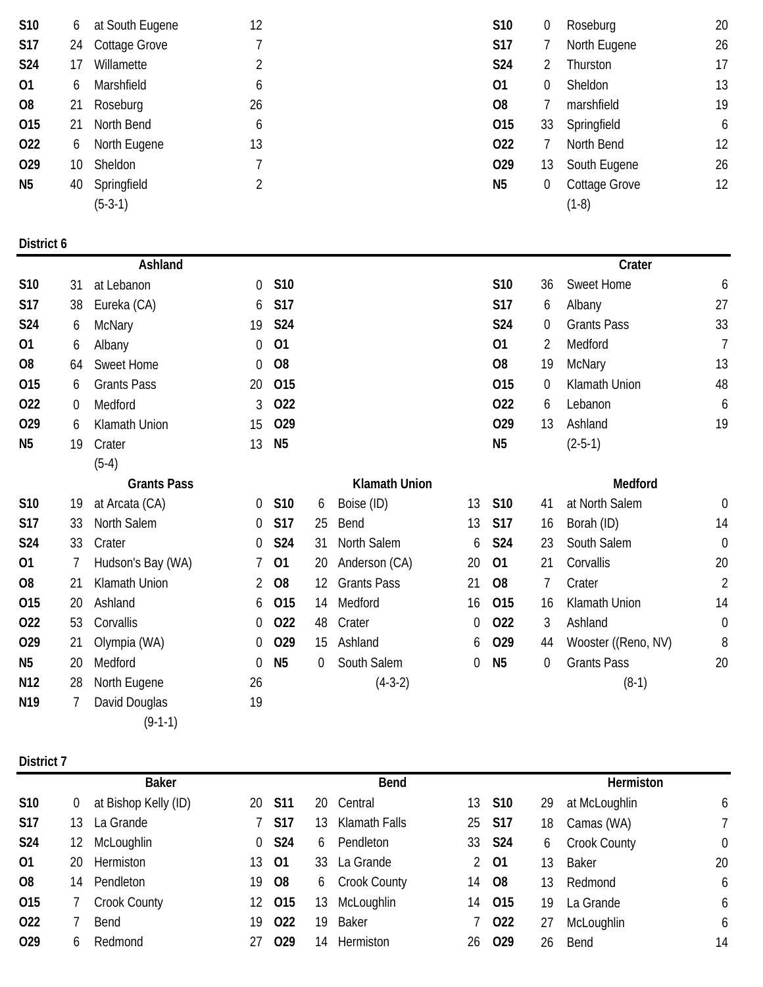| S10             | 6               | at South Eugene    | 12             |                |                |                      |                | S10            | 0                | Roseburg            | 20               |
|-----------------|-----------------|--------------------|----------------|----------------|----------------|----------------------|----------------|----------------|------------------|---------------------|------------------|
| <b>S17</b>      | 24              | Cottage Grove      | 7              |                |                |                      |                | <b>S17</b>     | 7                | North Eugene        | 26               |
| S24             | 17              | Willamette         | 2              |                |                |                      |                | S24            | 2                | Thurston            | 17               |
| 01              | 6               | Marshfield         | 6              |                |                |                      |                | 01             | 0                | Sheldon             | 13               |
| O <sub>8</sub>  | 21              | Roseburg           | 26             |                |                |                      |                | O <sub>8</sub> | 7                | marshfield          | 19               |
| 015             | 21              | North Bend         | 6              |                |                |                      |                | 015            | 33               | Springfield         | 6                |
| 022             | 6               | North Eugene       | 13             |                |                |                      |                | 022            | 7                | North Bend          | 12               |
| 029             | 10 <sup>°</sup> | Sheldon            | 7              |                |                |                      |                | 029            | 13               | South Eugene        | 26               |
| N <sub>5</sub>  | 40              | Springfield        | 2              |                |                |                      |                | N <sub>5</sub> | $\boldsymbol{0}$ | Cottage Grove       | 12               |
|                 |                 | $(5-3-1)$          |                |                |                |                      |                |                |                  | $(1-8)$             |                  |
|                 |                 |                    |                |                |                |                      |                |                |                  |                     |                  |
| District 6      |                 | Ashland            |                |                |                |                      |                |                |                  | Crater              |                  |
| S10             | 31              | at Lebanon         | 0              | S10            |                |                      |                | S10            | 36               | Sweet Home          | 6                |
| <b>S17</b>      | 38              | Eureka (CA)        | 6              | <b>S17</b>     |                |                      |                | S17            | 6                | Albany              | 27               |
| S24             | 6               | McNary             | 19             | S24            |                |                      |                | S24            | $\boldsymbol{0}$ | <b>Grants Pass</b>  | 33               |
| 01              | 6               | Albany             | 0              | 01             |                |                      |                | 01             | 2                | Medford             | $\overline{7}$   |
| O <sub>8</sub>  | 64              | Sweet Home         | 0              | O <sub>8</sub> |                |                      |                | O <sub>8</sub> | 19               | <b>McNary</b>       | 13               |
| 015             | 6               | <b>Grants Pass</b> | 20             | 015            |                |                      |                | 015            | $\boldsymbol{0}$ | Klamath Union       | 48               |
| 022             | 0               | Medford            | 3              | 022            |                |                      |                | 022            | 6                | Lebanon             | 6                |
| 029             | 6               | Klamath Union      | 15             | 029            |                |                      |                | 029            | 13               | Ashland             | 19               |
| N <sub>5</sub>  | 19              | Crater             | 13             | N <sub>5</sub> |                |                      |                | N <sub>5</sub> |                  | $(2-5-1)$           |                  |
|                 |                 | $(5-4)$            |                |                |                |                      |                |                |                  |                     |                  |
|                 |                 | <b>Grants Pass</b> |                |                |                | <b>Klamath Union</b> |                |                |                  | Medford             |                  |
| S10             | 19              | at Arcata (CA)     | 0              | S10            | 6              | Boise (ID)           | 13             | S10            | 41               | at North Salem      | $\boldsymbol{0}$ |
| <b>S17</b>      | 33              | North Salem        | 0              | <b>S17</b>     | 25             | Bend                 | 13             | <b>S17</b>     | 16               | Borah (ID)          | 14               |
| S24             | 33              | Crater             | 0              | <b>S24</b>     | 31             | North Salem          | 6              | S24            | 23               | South Salem         | $\boldsymbol{0}$ |
| 01              | 7               | Hudson's Bay (WA)  | 7              | 01             | 20             | Anderson (CA)        | 20             | 01             | 21               | Corvallis           | 20               |
| O <sub>8</sub>  | 21              | Klamath Union      | $\overline{2}$ | <b>O8</b>      |                | 12 Grants Pass       | 21             | O <sub>8</sub> | 7                | Crater              | $\overline{2}$   |
| 015             | 20              | Ashland            | 6              | 015            | 14             | Medford              | 16             | 015            | 16               | Klamath Union       | 14               |
| 022             | 53              | Corvallis          | 0              | 022            | 48             | Crater               | $\overline{0}$ | 022            | 3                | Ashland             | $\overline{0}$   |
| 029             | 21              | Olympia (WA)       | 0              | 029            |                | 15 Ashland           | 6              | 029            | 44               | Wooster ((Reno, NV) | 8                |
| N <sub>5</sub>  | 20              | Medford            | 0              | N <sub>5</sub> | $\overline{0}$ | South Salem          | $\overline{0}$ | N <sub>5</sub> | 0                | <b>Grants Pass</b>  | 20               |
| N12             | 28              | North Eugene       | 26             |                |                | $(4-3-2)$            |                |                |                  | $(8-1)$             |                  |
| N <sub>19</sub> | 7               | David Douglas      | 19             |                |                |                      |                |                |                  |                     |                  |
|                 |                 | $(9-1-1)$          |                |                |                |                      |                |                |                  |                     |                  |
|                 |                 |                    |                |                |                |                      |                |                |                  |                     |                  |
| District 7      |                 |                    |                |                |                |                      |                |                |                  |                     |                  |

|                 | <b>Baker</b> |                      |                |                 | <b>Bend</b> |                |    |                 |    | Hermiston           |    |  |
|-----------------|--------------|----------------------|----------------|-----------------|-------------|----------------|----|-----------------|----|---------------------|----|--|
| <b>S10</b>      | 0            | at Bishop Kelly (ID) | 20.            | <b>S11</b>      | 20.         | Central        |    | 13 S10          | 29 | at McLoughlin       | 6  |  |
| <b>S17</b>      | 13           | La Grande            |                | <b>S17</b>      | 13          | Klamath Falls  |    | 25 S17          | 18 | Camas (WA)          |    |  |
| <b>S24</b>      | 12           | McLoughlin           | $\overline{0}$ | <b>S24</b>      | 6           | Pendleton      |    | 33 <b>S24</b>   | 6  | <b>Crook County</b> | 0  |  |
| 01              | 20           | Hermiston            | 13             | 01              | 33          | La Grande      |    | 2 01            | 13 | Baker               | 20 |  |
| 08              | 14           | Pendleton            | 19             | <b>O8</b>       |             | 6 Crook County | 14 | <b>O8</b>       | 13 | Redmond             | 6  |  |
| 015             |              | <b>Crook County</b>  | 12 -           | O <sub>15</sub> | 13          | McLoughlin     | 14 | 015             | 19 | La Grande           | 6  |  |
| 022             |              | <b>Bend</b>          | 19             | O <sub>22</sub> | 19          | <b>Baker</b>   |    | 022             | 27 | McLoughlin          | 6  |  |
| O <sub>29</sub> | 6            | Redmond              |                | O <sub>29</sub> | 14          | Hermiston      | 26 | O <sub>29</sub> | 26 | Bend                | 14 |  |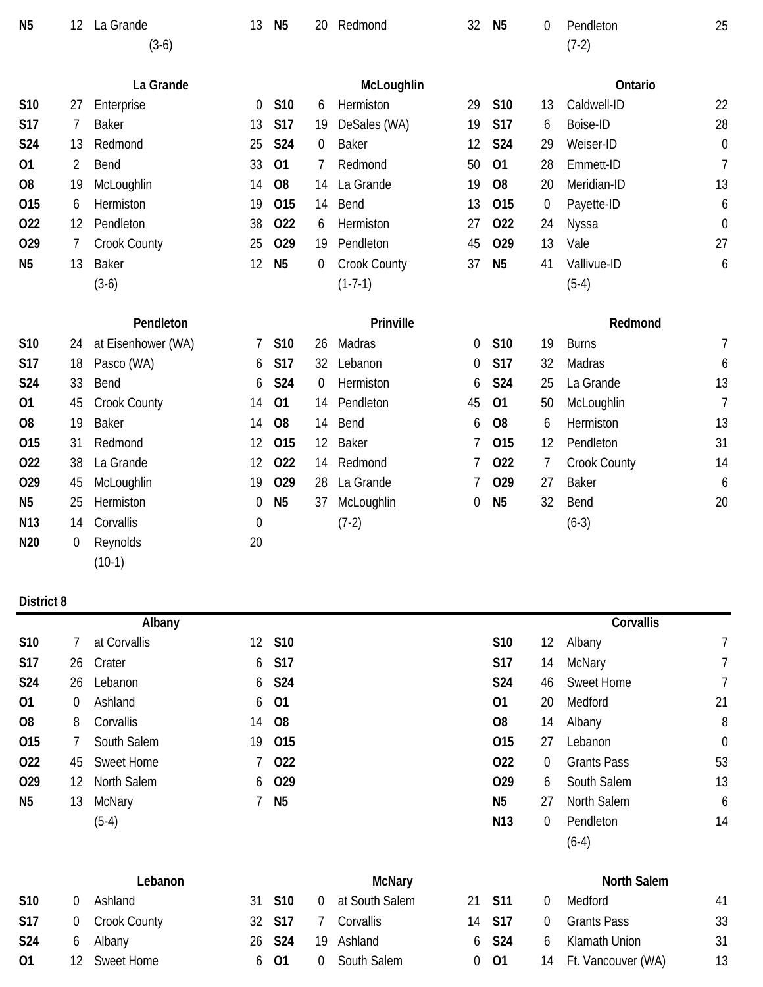| N <sub>5</sub>  | 12 | La Grande<br>$(3-6)$ | 13               | N <sub>5</sub> | 20          | Redmond      | 32 | N <sub>5</sub> | $\mathbf 0$    | Pendleton<br>$(7-2)$ | 25             |
|-----------------|----|----------------------|------------------|----------------|-------------|--------------|----|----------------|----------------|----------------------|----------------|
|                 |    | La Grande            |                  |                |             | McLoughlin   |    |                |                | Ontario              |                |
| S10             | 27 | Enterprise           | 0                | S10            | 6           | Hermiston    | 29 | S10            | 13             | Caldwell-ID          | 22             |
| <b>S17</b>      | 7  | <b>Baker</b>         | 13               | <b>S17</b>     | 19          | DeSales (WA) | 19 | <b>S17</b>     | 6              | Boise-ID             | 28             |
| <b>S24</b>      | 13 | Redmond              | 25               | <b>S24</b>     | 0           | <b>Baker</b> | 12 | <b>S24</b>     | 29             | Weiser-ID            | $\mathbf 0$    |
| 01              | 2  | Bend                 | 33               | 01             | 7           | Redmond      | 50 | 01             | 28             | Emmett-ID            | $\overline{1}$ |
| O <sub>8</sub>  | 19 | McLoughlin           | 14               | O <sub>8</sub> | 14          | La Grande    | 19 | O <sub>8</sub> | 20             | Meridian-ID          | 13             |
| 015             | 6  | Hermiston            | 19               | 015            | 14          | Bend         | 13 | 015            | $\mathbf 0$    | Payette-ID           | 6              |
| 022             | 12 | Pendleton            | 38               | 022            | 6           | Hermiston    | 27 | 022            | 24             | Nyssa                | $\mathbf 0$    |
| 029             | 7  | Crook County         | 25               | 029            | 19          | Pendleton    | 45 | 029            | 13             | Vale                 | 27             |
| N <sub>5</sub>  | 13 | <b>Baker</b>         | 12               | <b>N5</b>      | 0           | Crook County | 37 | N <sub>5</sub> | 41             | Vallivue-ID          | 6              |
|                 |    | $(3-6)$              |                  |                |             | $(1-7-1)$    |    |                |                | $(5-4)$              |                |
|                 |    | Pendleton            |                  |                |             | Prinville    |    |                |                | Redmond              |                |
| S <sub>10</sub> | 24 | at Eisenhower (WA)   | 7                | S10            | 26          | Madras       | 0  | S10            | 19             | <b>Burns</b>         | 7              |
| <b>S17</b>      | 18 | Pasco (WA)           | 6                | <b>S17</b>     | 32          | Lebanon      | 0  | <b>S17</b>     | 32             | Madras               | 6              |
| S24             | 33 | Bend                 | 6                | <b>S24</b>     | $\mathbf 0$ | Hermiston    | 6  | <b>S24</b>     | 25             | La Grande            | 13             |
| 01              | 45 | Crook County         | 14               | 01             | 14          | Pendleton    | 45 | 01             | 50             | McLoughlin           | $\overline{1}$ |
| O <sub>8</sub>  | 19 | <b>Baker</b>         | 14               | O <sub>8</sub> | 14          | Bend         | 6  | O <sub>8</sub> | 6              | Hermiston            | 13             |
| 015             | 31 | Redmond              | 12               | 015            | 12          | <b>Baker</b> | 7  | 015            | 12             | Pendleton            | 31             |
| 022             | 38 | La Grande            | 12               | 022            | 14          | Redmond      | 7  | 022            | $\overline{7}$ | Crook County         | 14             |
| 029             | 45 | McLoughlin           | 19               | 029            | 28          | La Grande    | 7  | 029            | 27             | <b>Baker</b>         | 6              |
|                 |    |                      |                  |                |             |              |    |                |                |                      |                |
| N <sub>5</sub>  | 25 | Hermiston            | 0                | N <sub>5</sub> | 37          | McLoughlin   | 0  | N <sub>5</sub> | 32             | Bend                 | 20             |
| N <sub>13</sub> | 14 | Corvallis            | $\boldsymbol{0}$ |                |             | $(7-2)$      |    |                |                | $(6-3)$              |                |
| N <sub>20</sub> | 0  | Reynolds             | 20               |                |             |              |    |                |                |                      |                |

|                |                | Albany             |   |                |                 |          | Corvallis          |             |
|----------------|----------------|--------------------|---|----------------|-----------------|----------|--------------------|-------------|
| <b>S10</b>     |                | at Corvallis       |   | 12 S10         | S <sub>10</sub> | 12       | Albany             |             |
| <b>S17</b>     | 26             | Crater             | 6 | S17            | S17             | 14       | McNary             |             |
| S24            | 26             | Lebanon            | 6 | <b>S24</b>     | S24             | 46       | <b>Sweet Home</b>  | 7           |
| 01             | $\overline{0}$ | Ashland            |   | 6 01           | 01              | 20       | Medford            | 21          |
| O <sub>8</sub> | 8              | Corvallis          |   | 14 08          | O <sub>8</sub>  | 14       | Albany             | 8           |
| 015            |                | South Salem        |   | 19 015         | O <sub>15</sub> | 27       | Lebanon            | $\mathbf 0$ |
| 022            | 45             | Sweet Home         |   | 7 022          | 022             | $\Omega$ | <b>Grants Pass</b> | 53          |
| 029            | 12             | <b>North Salem</b> |   | 6 029          | 029             | 6        | South Salem        | 13          |
| N <sub>5</sub> | 13             | McNary             |   | N <sub>5</sub> | N <sub>5</sub>  | 27       | <b>North Salem</b> | 6           |
|                |                | $(5-4)$            |   |                | N <sub>13</sub> | $\Omega$ | Pendleton          | 14          |
|                |                |                    |   |                |                 |          | $(6-4)$            |             |

|            |    | Lebanon           |                    |                | McNary         |          |          | <b>North Salem</b>    |    |
|------------|----|-------------------|--------------------|----------------|----------------|----------|----------|-----------------------|----|
| <b>S10</b> |    | Ashland           | 31 S10             | $\overline{0}$ | at South Salem | 21 S11   | 0        | Medford               | 41 |
| <b>S17</b> |    | 0 Crook County    | 32 S17             |                | Corvallis      | 14 S17   | $\Omega$ | Grants Pass           | 33 |
| <b>S24</b> |    | Albany            | 26 S <sub>24</sub> | 19             | Ashland        | 6 S24    | b        | Klamath Union         | 31 |
| 01         | 12 | <b>Sweet Home</b> | 6 01               |                | South Salem    | $0$ $01$ |          | 14 Ft. Vancouver (WA) |    |

# **North Salem**

|        | Medford               |    |
|--------|-----------------------|----|
| $\cup$ | Grants Pass           | 33 |
| 6.     | Klamath Union         | 31 |
|        | 14 Ft. Vancouver (WA) | 13 |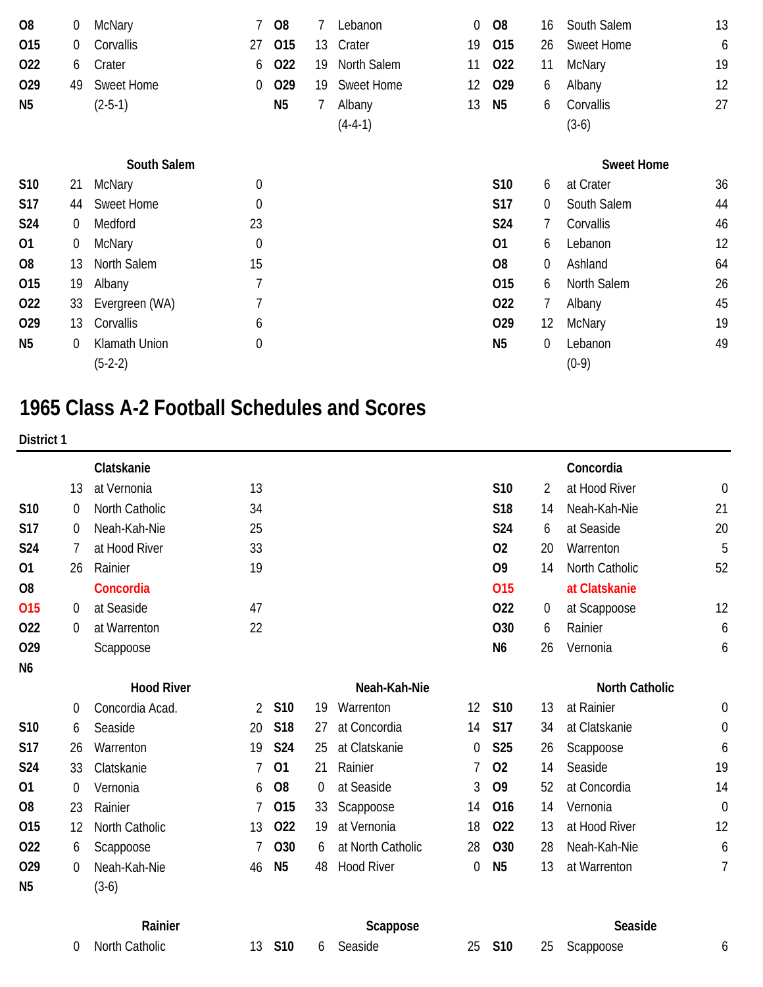| 08             | 0  | McNary         |                  | <b>O8</b>      |    | Lebanon           | 0  | O <sub>8</sub>  | 16                | South Salem       | 13 |
|----------------|----|----------------|------------------|----------------|----|-------------------|----|-----------------|-------------------|-------------------|----|
| 015            | 0  | Corvallis      | 27               | 015            | 13 | Crater            | 19 | O <sub>15</sub> | 26                | Sweet Home        | 6  |
| 022            | 6  | Crater         | 6                | 022            | 19 | North Salem       | 11 | 022             | 11                | McNary            | 19 |
| 029            | 49 | Sweet Home     | 0                | 029            | 19 | <b>Sweet Home</b> | 12 | 029             | 6                 | Albany            | 12 |
| N <sub>5</sub> |    | $(2-5-1)$      |                  | N <sub>5</sub> | 7  | Albany            | 13 | N <sub>5</sub>  | 6                 | Corvallis         | 27 |
|                |    |                |                  |                |    | $(4-4-1)$         |    |                 |                   | $(3-6)$           |    |
|                |    | South Salem    |                  |                |    |                   |    |                 |                   | <b>Sweet Home</b> |    |
| S10            | 21 | <b>McNary</b>  | $\boldsymbol{0}$ |                |    |                   |    | S10             | 6                 | at Crater         | 36 |
| <b>S17</b>     | 44 | Sweet Home     | $\boldsymbol{0}$ |                |    |                   |    | S17             | 0                 | South Salem       | 44 |
| S24            | 0  | Medford        | 23               |                |    |                   |    | S24             |                   | Corvallis         | 46 |
| 01             | 0  | <b>McNary</b>  | $\mathbf 0$      |                |    |                   |    | 01              | 6                 | Lebanon           | 12 |
| <b>O8</b>      | 13 | North Salem    | 15               |                |    |                   |    | O <sub>8</sub>  | 0                 | Ashland           | 64 |
| 015            | 19 | Albany         | 7                |                |    |                   |    | 015             | 6                 | North Salem       | 26 |
| 022            | 33 | Evergreen (WA) | 7                |                |    |                   |    | 022             | 7                 | Albany            | 45 |
| 029            | 13 | Corvallis      | 6                |                |    |                   |    | 029             | $12 \overline{ }$ | McNary            | 19 |
| N <sub>5</sub> | 0  | Klamath Union  | $\mathbf{0}$     |                |    |                   |    | N <sub>5</sub>  | 0                 | Lebanon           | 49 |
|                |    | $(5-2-2)$      |                  |                |    |                   |    |                 |                   | $(0-9)$           |    |

# **1965 Class A-2 Football Schedules and Scores**

| District 1      |                |                   |    |                |    |                   |          |                |          |                       |             |
|-----------------|----------------|-------------------|----|----------------|----|-------------------|----------|----------------|----------|-----------------------|-------------|
|                 |                | Clatskanie        |    |                |    |                   |          |                |          | Concordia             |             |
|                 | 13             | at Vernonia       | 13 |                |    |                   |          | S10            | 2        | at Hood River         | $\mathbf 0$ |
| <b>S10</b>      | $\overline{0}$ | North Catholic    | 34 |                |    |                   |          | <b>S18</b>     | 14       | Neah-Kah-Nie          | 21          |
| S <sub>17</sub> | 0              | Neah-Kah-Nie      | 25 |                |    |                   |          | S24            | 6        | at Seaside            | 20          |
| S24             | 7              | at Hood River     | 33 |                |    |                   |          | 02             | 20       | Warrenton             | 5           |
| 01              | 26             | Rainier           | 19 |                |    |                   |          | O <sub>9</sub> | 14       | North Catholic        | 52          |
| O <sub>8</sub>  |                | Concordia         |    |                |    |                   |          | 015            |          | at Clatskanie         |             |
| 015             | $\overline{0}$ | at Seaside        | 47 |                |    |                   |          | 022            | $\theta$ | at Scappoose          | 12          |
| 022             | $\overline{0}$ | at Warrenton      | 22 |                |    |                   |          | O30            | 6        | Rainier               | 6           |
| 029             |                | Scappoose         |    |                |    |                   |          | N <sub>6</sub> | 26       | Vernonia              | 6           |
| N <sub>6</sub>  |                |                   |    |                |    |                   |          |                |          |                       |             |
|                 |                | <b>Hood River</b> |    |                |    | Neah-Kah-Nie      |          |                |          | <b>North Catholic</b> |             |
|                 | 0              | Concordia Acad.   | 2  | S10            | 19 | Warrenton         | 12       | <b>S10</b>     | 13       | at Rainier            | 0           |
| S10             | 6              | Seaside           | 20 | S18            | 27 | at Concordia      | 14       | <b>S17</b>     | 34       | at Clatskanie         | $\mathbf 0$ |
| <b>S17</b>      | 26             | Warrenton         | 19 | <b>S24</b>     | 25 | at Clatskanie     | 0        | S25            | 26       | Scappoose             | 6           |
| S24             | 33             | Clatskanie        | 7  | 01             | 21 | Rainier           | 7        | 02             | 14       | Seaside               | 19          |
| 01              | 0              | Vernonia          | 6  | O <sub>8</sub> | 0  | at Seaside        | 3        | O <sub>9</sub> | 52       | at Concordia          | 14          |
| O <sub>8</sub>  | 23             | Rainier           |    | 015            | 33 | Scappoose         | 14       | 016            | 14       | Vernonia              | $\mathbf 0$ |
| 015             | 12             | North Catholic    | 13 | 022            | 19 | at Vernonia       | 18       | 022            | 13       | at Hood River         | 12          |
| 022             | 6              | Scappoose         |    | O30            | 6  | at North Catholic | 28       | <b>O30</b>     | 28       | Neah-Kah-Nie          | 6           |
| 029             | 0              | Neah-Kah-Nie      | 46 | N <sub>5</sub> | 48 | <b>Hood River</b> | $\theta$ | N <sub>5</sub> | 13       | at Warrenton          | 7           |
| N <sub>5</sub>  |                | $(3-6)$           |    |                |    |                   |          |                |          |                       |             |
|                 |                | Rainier           |    |                |    | Scappose          |          |                |          | Seaside               |             |
|                 | $\overline{0}$ | North Catholic    | 13 | S10            | 6  | Seaside           | 25       | <b>S10</b>     | 25       | Scappoose             | 6           |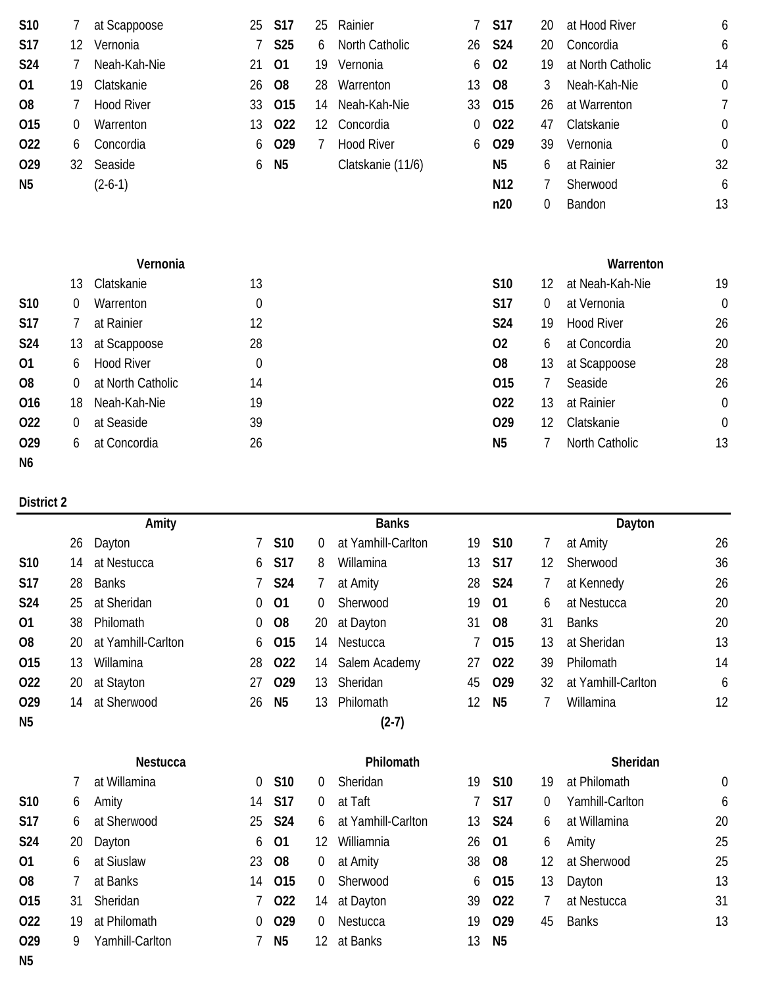| S10            | 7                | at Scappoose      | 25               | <b>S17</b>     | 25 | Rainier           |    | <b>S17</b>      | 20             | at Hood River     | 6                |
|----------------|------------------|-------------------|------------------|----------------|----|-------------------|----|-----------------|----------------|-------------------|------------------|
| S17            | 12               | Vernonia          |                  | <b>S25</b>     | 6  | North Catholic    | 26 | <b>S24</b>      | 20             | Concordia         | 6                |
| <b>S24</b>     |                  | Neah-Kah-Nie      | 21               | 01             | 19 | Vernonia          | 6  | 02              | 19             | at North Catholic | 14               |
| 01             | 19               | Clatskanie        | 26               | O <sub>8</sub> | 28 | Warrenton         | 13 | O <sub>8</sub>  | 3              | Neah-Kah-Nie      | $\theta$         |
| O <sub>8</sub> |                  | <b>Hood River</b> | 33               | 015            | 14 | Neah-Kah-Nie      | 33 | 015             | 26             | at Warrenton      | 7                |
| 015            | $\boldsymbol{0}$ | Warrenton         | 13               | 022            | 12 | Concordia         | 0  | 022             | 47             | Clatskanie        | $\mathbf 0$      |
| 022            | 6                | Concordia         | 6                | 029            | 7  | <b>Hood River</b> | 6  | 029             | 39             | Vernonia          | $\boldsymbol{0}$ |
| 029            | 32               | Seaside           | 6                | N <sub>5</sub> |    | Clatskanie (11/6) |    | N <sub>5</sub>  | 6              | at Rainier        | 32               |
| N <sub>5</sub> |                  | $(2-6-1)$         |                  |                |    |                   |    | N <sub>12</sub> | 7              | Sherwood          | 6                |
|                |                  |                   |                  |                |    |                   |    | n20             | 0              | Bandon            | 13               |
|                |                  | Vernonia          |                  |                |    |                   |    |                 |                | Warrenton         |                  |
|                | 13               | Clatskanie        | 13               |                |    |                   |    | S10             | 12             | at Neah-Kah-Nie   | 19               |
| <b>S10</b>     | 0                | Warrenton         | $\mathbf 0$      |                |    |                   |    | <b>S17</b>      | $\overline{0}$ | at Vernonia       | $\mathbf{0}$     |
| <b>S17</b>     | 7                | at Rainier        | 12               |                |    |                   |    | S24             | 19             | <b>Hood River</b> | 26               |
| <b>S24</b>     | 13               | at Scappoose      | 28               |                |    |                   |    | 02              | 6              | at Concordia      | 20               |
| 01             | 6                | <b>Hood River</b> | $\boldsymbol{0}$ |                |    |                   |    | O <sub>8</sub>  | 13             | at Scappoose      | 28               |
| O <sub>8</sub> | 0                | at North Catholic | 14               |                |    |                   |    | 015             | 7              | Seaside           | 26               |
| 016            | 18               | Neah-Kah-Nie      | 19               |                |    |                   |    | 022             | 13             | at Rainier        | $\theta$         |
| 022            | 0                | at Seaside        | 39               |                |    |                   |    | 029             | 12             | Clatskanie        | $\boldsymbol{0}$ |
| 029            | 6                | at Concordia      | 26               |                |    |                   |    | N <sub>5</sub>  | 7              | North Catholic    | 13               |
| N <sub>6</sub> |                  |                   |                  |                |    |                   |    |                 |                |                   |                  |

|                 |    | Amity              |    |                |    | <b>Banks</b>       |    |                 |    | Dayton             |    |
|-----------------|----|--------------------|----|----------------|----|--------------------|----|-----------------|----|--------------------|----|
|                 | 26 | Dayton             |    | S10            | 0  | at Yamhill-Carlton | 19 | S10             | 7  | at Amity           | 26 |
| S <sub>10</sub> | 14 | at Nestucca        | 6  | S17            | 8  | Willamina          | 13 | <b>S17</b>      | 12 | Sherwood           | 36 |
| <b>S17</b>      | 28 | <b>Banks</b>       |    | S24            | 7  | at Amity           | 28 | <b>S24</b>      | 7  | at Kennedy         | 26 |
| S24             | 25 | at Sheridan        | 0  | 01             | 0  | Sherwood           | 19 | 01              | 6  | at Nestucca        | 20 |
| 01              | 38 | Philomath          | 0  | O <sub>8</sub> | 20 | at Dayton          | 31 | O <sub>8</sub>  | 31 | <b>Banks</b>       | 20 |
| O <sub>8</sub>  | 20 | at Yamhill-Carlton | 6  | 015            | 14 | Nestucca           |    | 015             | 13 | at Sheridan        | 13 |
| 015             | 13 | Willamina          | 28 | 022            | 14 | Salem Academy      | 27 | 022             | 39 | Philomath          | 14 |
| 022             | 20 | at Stayton         | 27 | 029            | 13 | Sheridan           | 45 | 029             | 32 | at Yamhill-Carlton | 6  |
| 029             | 14 | at Sherwood        | 26 | N <sub>5</sub> | 13 | Philomath          | 12 | N <sub>5</sub>  | 7  | Willamina          | 12 |
| N <sub>5</sub>  |    |                    |    |                |    | $(2-7)$            |    |                 |    |                    |    |
|                 |    |                    |    |                |    |                    |    |                 |    |                    |    |
|                 |    | <b>Nestucca</b>    |    |                |    | Philomath          |    |                 |    | Sheridan           |    |
|                 | 7  | at Willamina       | 0  | <b>S10</b>     | 0  | Sheridan           | 19 | S <sub>10</sub> | 19 | at Philomath       | 0  |
| <b>S10</b>      | 6  | Amity              | 14 | <b>S17</b>     | 0  | at Taft            |    | <b>S17</b>      | 0  | Yamhill-Carlton    | 6  |
| <b>S17</b>      | 6  | at Sherwood        | 25 | S24            | 6  | at Yamhill-Carlton | 13 | <b>S24</b>      | 6  | at Willamina       | 20 |
| <b>S24</b>      | 20 | Dayton             | 6  | 01             | 12 | Williamnia         | 26 | 01              | 6  | Amity              | 25 |
| 01              | 6  | at Siuslaw         | 23 | O <sub>8</sub> | 0  | at Amity           | 38 | O <sub>8</sub>  | 12 | at Sherwood        | 25 |
| O <sub>8</sub>  |    | at Banks           | 14 | 015            | 0  | Sherwood           | 6  | 015             | 13 | Dayton             | 13 |
| 015             | 31 | Sheridan           | 7  | 022            | 14 | at Dayton          | 39 | 022             | 7  | at Nestucca        | 31 |
| 022             | 19 | at Philomath       | 0  | 029            | 0  | Nestucca           | 19 | 029             | 45 | <b>Banks</b>       | 13 |
| 029             | 9  | Yamhill-Carlton    |    | N <sub>5</sub> | 12 | at Banks           | 13 | N <sub>5</sub>  |    |                    |    |
| N <sub>5</sub>  |    |                    |    |                |    |                    |    |                 |    |                    |    |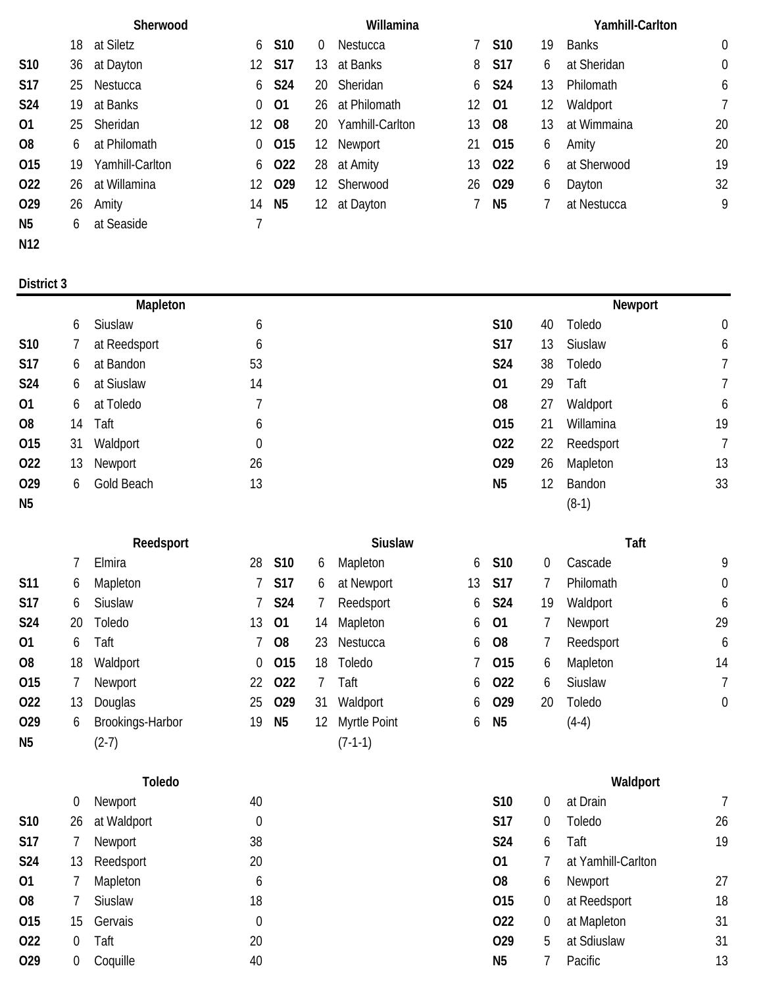|                 | Sherwood |                 |    |                 | Willamina        |                 |    |                |    | Yamhill-Carlton |             |  |  |
|-----------------|----------|-----------------|----|-----------------|------------------|-----------------|----|----------------|----|-----------------|-------------|--|--|
|                 | 18       | at Siletz       | 6  | S <sub>10</sub> | $\theta$         | Nestucca        | 7  | <b>S10</b>     | 19 | <b>Banks</b>    | $\theta$    |  |  |
| <b>S10</b>      | 36       | at Dayton       |    | 12 S17          | 13               | at Banks        |    | 8 S17          | 6  | at Sheridan     | $\mathbf 0$ |  |  |
| <b>S17</b>      | 25       | Nestucca        | 6  | <b>S24</b>      |                  | 20 Sheridan     |    | 6 S24          | 13 | Philomath       | 6           |  |  |
| <b>S24</b>      | 19.      | at Banks        | 0  | 01              |                  | 26 at Philomath | 12 | -01            | 12 | Waldport        | 7           |  |  |
| 01              | 25       | Sheridan        | 12 | <b>O8</b>       | 20               | Yamhill-Carlton | 13 | <b>O8</b>      | 13 | at Wimmaina     | 20          |  |  |
| O8              | 6        | at Philomath    | 0  | 015             | 12 <sup>12</sup> | Newport         |    | 21 015         | 6  | Amity           | 20          |  |  |
| 015             | 19       | Yamhill-Carlton |    | 6 022           | 28               | at Amity        | 13 | 022            | 6  | at Sherwood     | 19          |  |  |
| 022             | 26       | at Willamina    |    | 12 029          |                  | 12 Sherwood     |    | 26 029         | 6  | Dayton          | 32          |  |  |
| O <sub>29</sub> | 26       | Amity           | 14 | N5              | 12               | at Dayton       |    | N <sub>5</sub> |    | at Nestucca     | 9           |  |  |
| N5              | 6        | at Seaside      |    |                 |                  |                 |    |                |    |                 |             |  |  |
| N12             |          |                 |    |                 |                  |                 |    |                |    |                 |             |  |  |

|            | Mapleton |              |                | Newport        |                 |           |                |  |
|------------|----------|--------------|----------------|----------------|-----------------|-----------|----------------|--|
|            | 6        | Siuslaw      | 6              | S10            | 40              | Toledo    | $\overline{0}$ |  |
| S10        | $\prime$ | at Reedsport | 6              | <b>S17</b>     | 13              | Siuslaw   | 6              |  |
| <b>S17</b> | 6        | at Bandon    | 53             | S24            | 38              | Toledo    |                |  |
| <b>S24</b> | 6        | at Siuslaw   | 14             | 01             | 29              | Taft      |                |  |
| 01         | 6        | at Toledo    |                | O <sub>8</sub> | 27              | Waldport  | 6              |  |
| 08         | 14       | Taft         | 6              | 015            | 21              | Willamina | 19             |  |
| 015        | 31       | Waldport     | $\overline{0}$ | 022            | 22              | Reedsport | $7^{\circ}$    |  |
| 022        | 13       | Newport      | 26             | 029            | 26              | Mapleton  | 13             |  |
| 029        | 6        | Gold Beach   | 13             | N <sub>5</sub> | 12 <sup>°</sup> | Bandon    | 33             |  |
| <b>N5</b>  |          |              |                |                |                 | $(8-1)$   |                |  |

|                |    | Elmira           | 28  | S10            | 6  | Mapleton        | 6  | S10              | 0  | Cascade   |            |
|----------------|----|------------------|-----|----------------|----|-----------------|----|------------------|----|-----------|------------|
| <b>S11</b>     | 6  | Mapleton         |     | 7 S17          | 6  | at Newport      | 13 | S17              |    | Philomath |            |
| <b>S17</b>     | 6  | Siuslaw          |     | 7 S24          |    | Reedsport       |    | 6 S24            | 19 | Waldport  |            |
| <b>S24</b>     | 20 | Toledo           | 13. | - 01           | 14 | Mapleton        |    | 6 01             |    | Newport   | 29         |
| 01             | 6  | Taft             |     | 7 08           | 23 | Nestucca        |    | 6 08             |    | Reedsport | $\epsilon$ |
| O <sub>8</sub> | 18 | Waldport         |     | $0$ 015        | 18 | Toledo          |    | 7 015            | 6  | Mapleton  | 14         |
| 015            |    | Newport          |     | 22 022         |    | Taft            |    | 6 022            | 6  | Siuslaw   |            |
| 022            | 13 | Douglas          |     | 25 029         | 31 | Waldport        |    | 6 029            | 20 | Toledo    |            |
| 029            | 6  | Brookings-Harbor | 19  | N <sub>5</sub> |    | 12 Myrtle Point |    | 6 N <sub>5</sub> |    | $(4-4)$   |            |
| N <sub>5</sub> |    | $(2-7)$          |     |                |    | $(7-1-1)$       |    |                  |    |           |            |

|                | 0  | Newport     | 40          | <b>S10</b>      | O. | at Drain           |    |
|----------------|----|-------------|-------------|-----------------|----|--------------------|----|
| S10            | 26 | at Waldport | 0           | <b>S17</b>      | O. | Toledo             | 26 |
| <b>S17</b>     |    | Newport     | 38          | S <sub>24</sub> | 6  | Taft               | 19 |
| <b>S24</b>     | 13 | Reedsport   | 20          | 01              |    | at Yamhill-Carlton |    |
| 01             |    | Mapleton    | 6           | O <sub>8</sub>  | 6  | Newport            | 27 |
| O <sub>8</sub> |    | Siuslaw     | 18          | 015             | 0  | at Reedsport       | 18 |
| 015            | 15 | Gervais     | $\mathbf 0$ | 022             | 0  | at Mapleton        | 31 |
| 022            | 0  | Taft        | 20          | 029             | 5  | at Sdiuslaw        | 31 |
| 029            | 0  | Coquille    | 40          | N <sub>5</sub>  |    | Pacific            | 13 |

# **Reedsport Siuslaw Taft**

| S10 | 6  | Mapleton     |
|-----|----|--------------|
| S17 | 6  | at Newport   |
| S24 | 7  | Reedsport    |
| 01  | 14 | Mapleton     |
| O8  | 23 | Nestucca     |
| 015 | 18 | Toledo       |
| 022 | 7  | Taft         |
| 029 | 31 | Waldport     |
| N5  | 12 | Myrtle Point |
|     |    | $(7-1-1)$    |

| 5 | S10        | 0  | Cascade        | 9  |
|---|------------|----|----------------|----|
| 3 | <b>S17</b> |    | Philomath      | 0  |
| 5 | S24        | 19 | Waldport       | 6  |
| 5 | 01         | 7  | Newport        | 29 |
| 5 | O8         | 7  | Reedsport      | 6  |
| 7 | 015        | 6  | Mapleton       | 14 |
| 5 | 022        | 6  | <b>Siuslaw</b> | 7  |
| 5 | 029        | 20 | Toledo         | 0  |
| 5 | N5         |    | (4-4)          |    |

|     | Toledo           |             |    |                 | Waldport |                    |    |  |  |  |  |
|-----|------------------|-------------|----|-----------------|----------|--------------------|----|--|--|--|--|
|     | $\overline{0}$   | Newport     | 40 | S <sub>10</sub> | $\sigma$ | at Drain           |    |  |  |  |  |
| S10 | 26               | at Waldport | 0  | <b>S17</b>      | 0        | Toledo             | 26 |  |  |  |  |
| S17 |                  | Newport     | 38 | S <sub>24</sub> | 6        | Taft               | 19 |  |  |  |  |
| S24 | 13               | Reedsport   | 20 | 01              |          | at Yamhill-Carlton |    |  |  |  |  |
| 01  |                  | Mapleton    | 6  | O <sub>8</sub>  | 6        | Newport            | 27 |  |  |  |  |
| 80  |                  | Siuslaw     | 18 | 015             | 0        | at Reedsport       | 18 |  |  |  |  |
| 015 | 15               | Gervais     | 0  | 022             | 0        | at Mapleton        | 31 |  |  |  |  |
| 022 | $\left( \right)$ | Taft        | 20 | 029             | b.       | at Sdiuslaw        | 31 |  |  |  |  |
| 029 |                  | Coquille    | 40 | N <sub>5</sub>  |          | Pacific            | 13 |  |  |  |  |
|     |                  |             |    |                 |          |                    |    |  |  |  |  |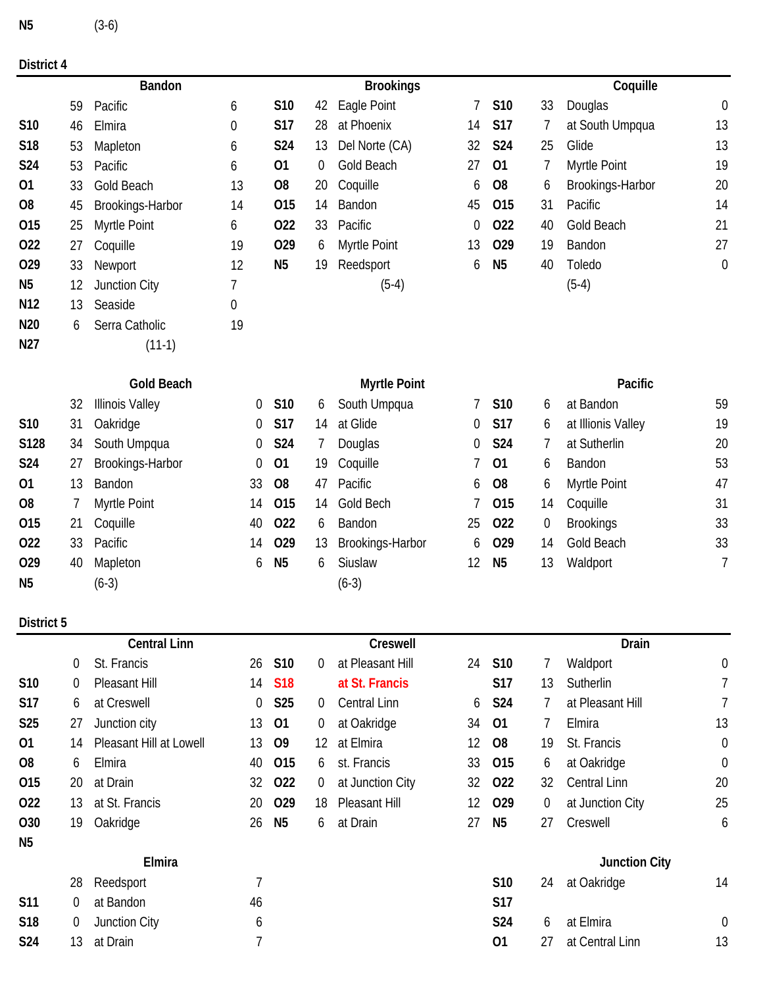| N <sub>5</sub> | $(3-6)$ |
|----------------|---------|
|                |         |

|                 |    | Bandon                 |                  |                |    | <b>Brookings</b>    |    |                |             | Coquille           |                  |
|-----------------|----|------------------------|------------------|----------------|----|---------------------|----|----------------|-------------|--------------------|------------------|
|                 | 59 | Pacific                | 6                | S10            | 42 | Eagle Point         | 7  | <b>S10</b>     | 33          | Douglas            | $\boldsymbol{0}$ |
| S10             | 46 | Elmira                 | $\boldsymbol{0}$ | <b>S17</b>     | 28 | at Phoenix          | 14 | <b>S17</b>     | 7           | at South Umpqua    | 13               |
| <b>S18</b>      | 53 | Mapleton               | 6                | <b>S24</b>     | 13 | Del Norte (CA)      | 32 | <b>S24</b>     | 25          | Glide              | 13               |
| <b>S24</b>      | 53 | Pacific                | 6                | 01             | 0  | <b>Gold Beach</b>   | 27 | 01             | 7           | Myrtle Point       | 19               |
| 01              | 33 | Gold Beach             | 13               | O <sub>8</sub> | 20 | Coquille            | 6  | O <sub>8</sub> | 6           | Brookings-Harbor   | 20               |
| O <sub>8</sub>  | 45 | Brookings-Harbor       | 14               | 015            | 14 | Bandon              | 45 | 015            | 31          | Pacific            | 14               |
| 015             | 25 | Myrtle Point           | 6                | 022            | 33 | Pacific             | 0  | 022            | 40          | Gold Beach         | 21               |
| 022             | 27 | Coquille               | 19               | 029            | 6  | Myrtle Point        | 13 | 029            | 19          | Bandon             | 27               |
| 029             | 33 | Newport                | 12               | N <sub>5</sub> | 19 | Reedsport           | 6  | N <sub>5</sub> | 40          | Toledo             | $\boldsymbol{0}$ |
| N <sub>5</sub>  | 12 | Junction City          | 7                |                |    | $(5-4)$             |    |                |             | $(5-4)$            |                  |
| N <sub>12</sub> | 13 | Seaside                | 0                |                |    |                     |    |                |             |                    |                  |
| N <sub>20</sub> | 6  | Serra Catholic         | 19               |                |    |                     |    |                |             |                    |                  |
| N27             |    | $(11-1)$               |                  |                |    |                     |    |                |             |                    |                  |
|                 |    | <b>Gold Beach</b>      |                  |                |    | <b>Myrtle Point</b> |    |                |             | Pacific            |                  |
|                 | 32 | <b>Illinois Valley</b> | 0                | S10            | 6  | South Umpqua        | 7  | S10            | 6           | at Bandon          | 59               |
| <b>S10</b>      | 31 | Oakridge               | 0                | <b>S17</b>     | 14 | at Glide            | 0  | <b>S17</b>     | 6           | at Illionis Valley | 19               |
| S128            | 34 | South Umpqua           | 0                | <b>S24</b>     | 7  | Douglas             | 0  | <b>S24</b>     | 7           | at Sutherlin       | 20               |
| S24             | 27 | Brookings-Harbor       | 0                | 01             | 19 | Coquille            | 7  | 01             | 6           | Bandon             | 53               |
| 01              | 13 | Bandon                 | 33               | O <sub>8</sub> | 47 | Pacific             | 6  | O <sub>8</sub> | 6           | Myrtle Point       | 47               |
| O <sub>8</sub>  | 7  | Myrtle Point           | 14               | 015            | 14 | Gold Bech           | 7  | 015            | 14          | Coquille           | 31               |
| 015             | 21 | Coquille               | 40               | 022            | 6  | Bandon              | 25 | 022            | $\mathbf 0$ | <b>Brookings</b>   | 33               |
| 022             | 33 | Pacific                | 14               | 029            | 13 | Brookings-Harbor    | 6  | 029            | 14          | Gold Beach         | 33               |
| 029             | 40 | Mapleton               | 6                | N <sub>5</sub> | 6  | Siuslaw             | 12 | N <sub>5</sub> | 13          | Waldport           | 7                |

# **District 5**

|                 |    | <b>Central Linn</b>     |    |                 |                | Creswell         |    |                 |    | Drain                |                |
|-----------------|----|-------------------------|----|-----------------|----------------|------------------|----|-----------------|----|----------------------|----------------|
|                 | 0  | St. Francis             | 26 | S <sub>10</sub> | $\overline{0}$ | at Pleasant Hill | 24 | S <sub>10</sub> |    | Waldport             | $\overline{0}$ |
| S10             | 0  | Pleasant Hill           | 14 | <b>S18</b>      |                | at St. Francis   |    | S17             | 13 | Sutherlin            | $\overline{7}$ |
| S17             | 6  | at Creswell             | 0  | S <sub>25</sub> | $\overline{0}$ | Central Linn     | 6  | <b>S24</b>      |    | at Pleasant Hill     | $\overline{7}$ |
| <b>S25</b>      | 27 | Junction city           | 13 | 01              | $\mathbf 0$    | at Oakridge      | 34 | 01              |    | Elmira               | 13             |
| 01              | 14 | Pleasant Hill at Lowell | 13 | O <sub>9</sub>  | 12             | at Elmira        | 12 | O <sub>8</sub>  | 19 | St. Francis          | $\mathbf 0$    |
| O <sub>8</sub>  | 6  | Elmira                  | 40 | 015             | 6              | st. Francis      | 33 | O <sub>15</sub> | 6  | at Oakridge          | $\theta$       |
| 015             | 20 | at Drain                | 32 | 022             | $\mathbf 0$    | at Junction City | 32 | 022             | 32 | <b>Central Linn</b>  | 20             |
| 022             | 13 | at St. Francis          | 20 | 029             | 18             | Pleasant Hill    | 12 | O <sub>29</sub> | 0  | at Junction City     | 25             |
| 030             | 19 | Oakridge                | 26 | N <sub>5</sub>  | 6              | at Drain         | 27 | N <sub>5</sub>  | 27 | Creswell             | 6              |
| N <sub>5</sub>  |    |                         |    |                 |                |                  |    |                 |    |                      |                |
|                 |    | Elmira                  |    |                 |                |                  |    |                 |    | <b>Junction City</b> |                |
|                 | 28 | Reedsport               | 7  |                 |                |                  |    | S <sub>10</sub> | 24 | at Oakridge          | 14             |
| <b>S11</b>      | 0  | at Bandon               | 46 |                 |                |                  |    | S17             |    |                      |                |
| S <sub>18</sub> | 0  | Junction City           | 6  |                 |                |                  |    | S24             | 6  | at Elmira            | $\theta$       |
| S24             | 13 | at Drain                | 7  |                 |                |                  |    | 01              | 27 | at Central Linn      | 13             |

**O29** 40 Mapleton 6 N5 6 Siuslaw 12 N5 13 Waldport

**N5** (6-3) (6-3)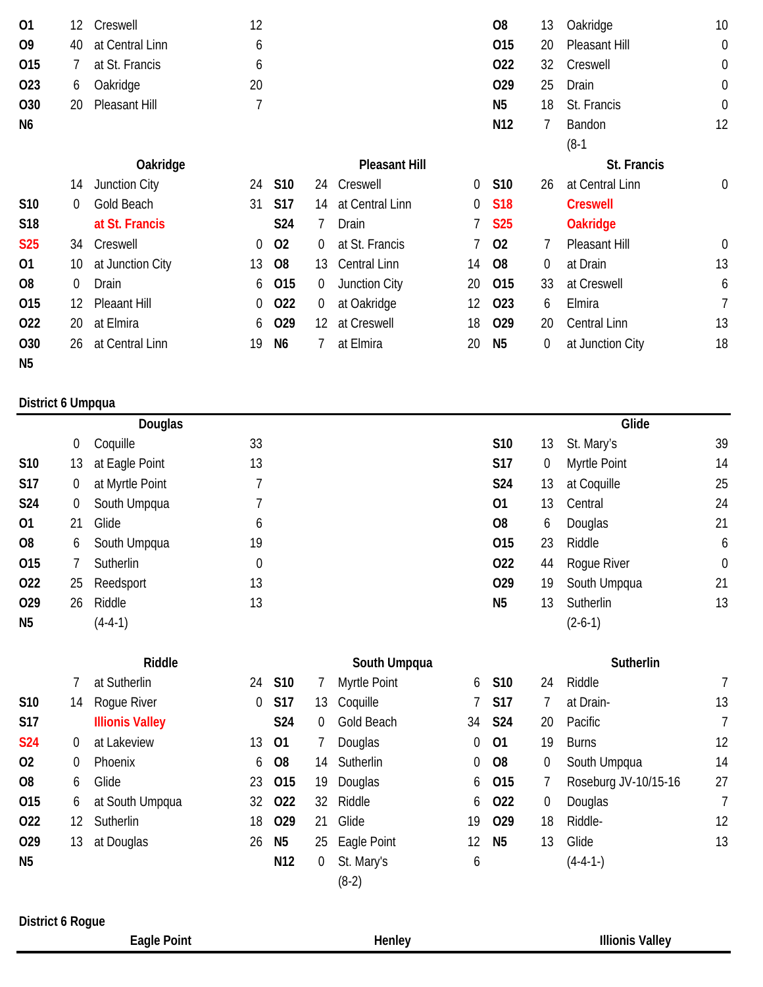| 01                | 12               | Creswell               | 12          |                 |                |                       |    | O <sub>8</sub>  | 13 | Oakridge             | 10               |
|-------------------|------------------|------------------------|-------------|-----------------|----------------|-----------------------|----|-----------------|----|----------------------|------------------|
| O <sub>9</sub>    | 40               | at Central Linn        | 6           |                 |                |                       |    | 015             | 20 | Pleasant Hill        | $\mathbf 0$      |
| 015               | 7                | at St. Francis         | 6           |                 |                |                       |    | 022             | 32 | Creswell             | $\boldsymbol{0}$ |
| 023               | 6                | Oakridge               | 20          |                 |                |                       |    | 029             | 25 | Drain                | $\boldsymbol{0}$ |
| 030               | 20               | Pleasant Hill          | 7           |                 |                |                       |    | N <sub>5</sub>  | 18 | St. Francis          | $\boldsymbol{0}$ |
| N <sub>6</sub>    |                  |                        |             |                 |                |                       |    | N <sub>12</sub> | 7  | Bandon<br>$(8-1)$    | 12               |
|                   |                  | Oakridge               |             |                 |                | <b>Pleasant Hill</b>  |    |                 |    | St. Francis          |                  |
|                   | 14               | Junction City          | 24          | S <sub>10</sub> | 24             | Creswell              | 0  | S10             | 26 | at Central Linn      | 0                |
| S10               | 0                | Gold Beach             | 31          | <b>S17</b>      | 14             | at Central Linn       | 0  | <b>S18</b>      |    | <b>Creswell</b>      |                  |
| S18               |                  | at St. Francis         |             | S24             | 7              | Drain                 | 7  | <b>S25</b>      |    | <b>Oakridge</b>      |                  |
| <b>S25</b>        | 34               | Creswell               | 0           | 02              | 0              | at St. Francis        |    | 02              | 7  | Pleasant Hill        | $\overline{0}$   |
| 01                | 10               | at Junction City       | 13          | O <sub>8</sub>  | 13             | Central Linn          | 14 | O <sub>8</sub>  | 0  | at Drain             | 13               |
| O <sub>8</sub>    | $\boldsymbol{0}$ | Drain                  | 6           | 015             | $\overline{0}$ | Junction City         | 20 | 015             | 33 | at Creswell          | 6                |
| 015               | 12               | <b>Pleaant Hill</b>    | 0           | 022             | 0              | at Oakridge           | 12 | 023             | 6  | Elmira               | 7                |
| 022               | 20               | at Elmira              | 6           | O <sub>29</sub> | 12             | at Creswell           | 18 | 029             | 20 | <b>Central Linn</b>  | 13               |
| 030               | 26               | at Central Linn        | 19          | N <sub>6</sub>  | 7              | at Elmira             | 20 | N <sub>5</sub>  | 0  | at Junction City     | 18               |
| N <sub>5</sub>    |                  |                        |             |                 |                |                       |    |                 |    |                      |                  |
| District 6 Umpqua |                  |                        |             |                 |                |                       |    |                 |    |                      |                  |
|                   |                  | Douglas                |             |                 |                |                       |    |                 |    | Glide                |                  |
|                   | 0                | Coquille               | 33          |                 |                |                       |    | S10             | 13 | St. Mary's           | 39               |
| S10               | 13               | at Eagle Point         | 13          |                 |                |                       |    | S17             | 0  | Myrtle Point         | 14               |
| <b>S17</b>        | 0                | at Myrtle Point        | 7           |                 |                |                       |    | S24             | 13 | at Coquille          | 25               |
| S24               | 0                | South Umpqua           | 7           |                 |                |                       |    | 01              | 13 | Central              | 24               |
| 01                | 21               | Glide                  | 6           |                 |                |                       |    | O <sub>8</sub>  | 6  | Douglas              | 21               |
| O <sub>8</sub>    | 6                | South Umpqua           | 19          |                 |                |                       |    | 015             | 23 | Riddle               | 6                |
| 015               | 7                | Sutherlin              | $\mathbf 0$ |                 |                |                       |    | 022             | 44 | Rogue River          | $\mathbf 0$      |
| 022               | 25               | Reedsport              | 13          |                 |                |                       |    | 029             | 19 | South Umpqua         | 21               |
| 029               | 26               | Riddle                 | 13          |                 |                |                       |    | N <sub>5</sub>  | 13 | Sutherlin            | 13               |
| N <sub>5</sub>    |                  | $(4-4-1)$              |             |                 |                |                       |    |                 |    | $(2-6-1)$            |                  |
|                   |                  | Riddle                 |             |                 |                | South Umpqua          |    |                 |    | Sutherlin            |                  |
|                   | 7                | at Sutherlin           | 24          | S10             | 7              | Myrtle Point          | 6  | S10             | 24 | Riddle               | 7                |
| S10               | 14               | Rogue River            | 0           | <b>S17</b>      | 13             | Coquille              |    | <b>S17</b>      | 7  | at Drain-            | 13               |
| <b>S17</b>        |                  | <b>Illionis Valley</b> |             | S24             | $\overline{0}$ | Gold Beach            | 34 | <b>S24</b>      | 20 | Pacific              | $\overline{7}$   |
| <b>S24</b>        | 0                | at Lakeview            | 13          | 01              | 7              | Douglas               | 0  | 01              | 19 | <b>Burns</b>         | 12               |
| 02                | 0                | Phoenix                | 6           | O <sub>8</sub>  | 14             | Sutherlin             | 0  | O <sub>8</sub>  | 0  | South Umpqua         | 14               |
| O <sub>8</sub>    | 6                | Glide                  | 23          | 015             | 19             | Douglas               | 6  | 015             | 7  | Roseburg JV-10/15-16 | 27               |
| 015               | 6                | at South Umpqua        | 32          | 022             | 32             | Riddle                | 6  | 022             | 0  | Douglas              | $\overline{7}$   |
| 022               | 12               | Sutherlin              | 18          | O <sub>29</sub> | 21             | Glide                 | 19 | 029             | 18 | Riddle-              | 12               |
| 029               | 13               | at Douglas             | 26          | N <sub>5</sub>  | 25             | Eagle Point           | 12 | N <sub>5</sub>  | 13 | Glide                | 13               |
| N <sub>5</sub>    |                  |                        |             | N12             | $\overline{0}$ | St. Mary's<br>$(8-2)$ | 6  |                 |    | $(4-4-1-)$           |                  |

**District 6 Rogue**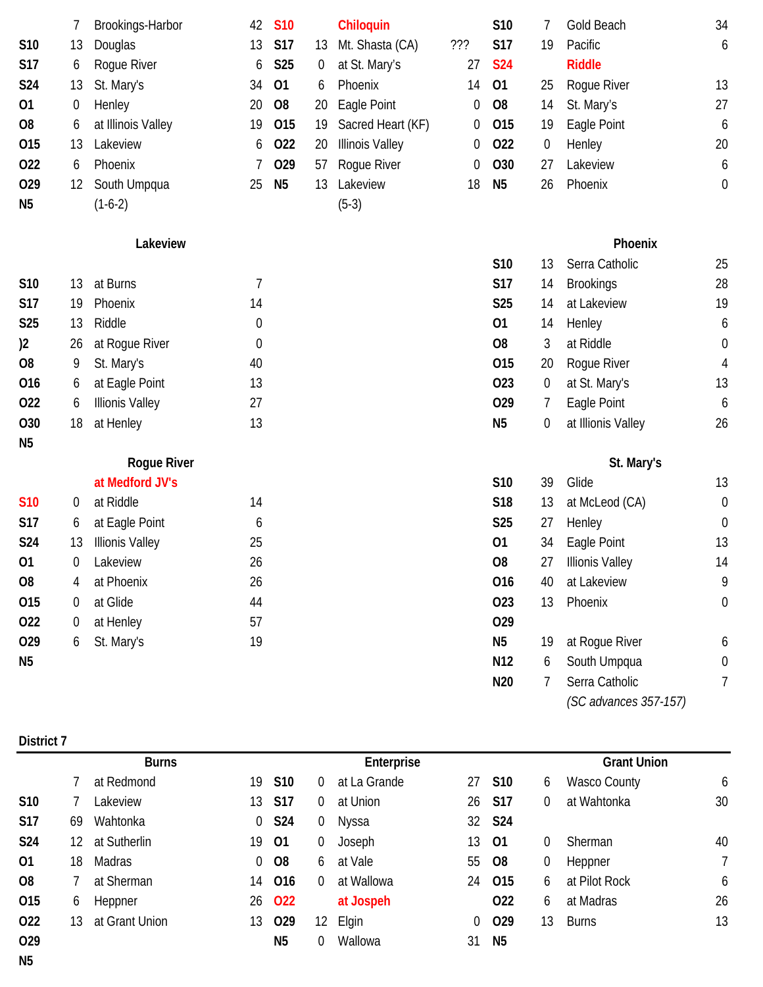|                | 7                | Brookings-Harbor       | 42               | <b>S10</b>      |                  | Chiloquin              |     | S10             | 7                | Gold Beach             | 34               |
|----------------|------------------|------------------------|------------------|-----------------|------------------|------------------------|-----|-----------------|------------------|------------------------|------------------|
| S10            | 13               | Douglas                | 13               | <b>S17</b>      | 13               | Mt. Shasta (CA)        | 777 | <b>S17</b>      | 19               | Pacific                | 6                |
| <b>S17</b>     | 6                | Rogue River            | 6                | <b>S25</b>      | $\boldsymbol{0}$ | at St. Mary's          | 27  | <b>S24</b>      |                  | <b>Riddle</b>          |                  |
| S24            | 13               | St. Mary's             | 34               | 01              | 6                | Phoenix                | 14  | 01              | 25               | Roque River            | 13               |
| 01             | $\boldsymbol{0}$ | Henley                 | 20               | O <sub>8</sub>  | 20               | Eagle Point            | 0   | O <sub>8</sub>  | 14               | St. Mary's             | 27               |
| O <sub>8</sub> | 6                | at Illinois Valley     | 19               | 015             | 19               | Sacred Heart (KF)      | 0   | 015             | 19               | Eagle Point            | 6                |
| 015            | 13               | Lakeview               | 6                | 022             | 20               | <b>Illinois Valley</b> | 0   | 022             | $\boldsymbol{0}$ | Henley                 | 20               |
| 022            | 6                | Phoenix                |                  | O <sub>29</sub> | 57               | Rogue River            | 0   | O30             | 27               | Lakeview               | 6                |
| 029            | 12               | South Umpqua           | 25               | N <sub>5</sub>  | 13               | Lakeview               | 18  | N <sub>5</sub>  | 26               | Phoenix                | $\boldsymbol{0}$ |
| N <sub>5</sub> |                  | $(1-6-2)$              |                  |                 |                  | $(5-3)$                |     |                 |                  |                        |                  |
|                |                  | Lakeview               |                  |                 |                  |                        |     |                 |                  | Phoenix                |                  |
|                |                  |                        |                  |                 |                  |                        |     | S10             | 13               | Serra Catholic         | 25               |
| S10            | 13               | at Burns               | 7                |                 |                  |                        |     | <b>S17</b>      | 14               | <b>Brookings</b>       | 28               |
| S17            | 19               | Phoenix                | 14               |                 |                  |                        |     | S <sub>25</sub> | 14               | at Lakeview            | 19               |
| <b>S25</b>     | 13               | Riddle                 | 0                |                 |                  |                        |     | 01              | 14               | Henley                 | 6                |
| )2             | 26               | at Rogue River         | $\boldsymbol{0}$ |                 |                  |                        |     | O <sub>8</sub>  | 3                | at Riddle              | $\boldsymbol{0}$ |
| O <sub>8</sub> | 9                | St. Mary's             | 40               |                 |                  |                        |     | 015             | 20               | Rogue River            | 4                |
| 016            | 6                | at Eagle Point         | 13               |                 |                  |                        |     | 023             | $\boldsymbol{0}$ | at St. Mary's          | 13               |
| 022            | 6                | <b>Illionis Valley</b> | 27               |                 |                  |                        |     | 029             | 7                | Eagle Point            | 6                |
| O30            | 18               | at Henley              | 13               |                 |                  |                        |     | N <sub>5</sub>  | $\boldsymbol{0}$ | at Illionis Valley     | 26               |
| N <sub>5</sub> |                  |                        |                  |                 |                  |                        |     |                 |                  |                        |                  |
|                |                  | <b>Rogue River</b>     |                  |                 |                  |                        |     |                 |                  | St. Mary's             |                  |
|                |                  | at Medford JV's        |                  |                 |                  |                        |     | S10             | 39               | Glide                  | 13               |
| <b>S10</b>     | 0                | at Riddle              | 14               |                 |                  |                        |     | S18             | 13               | at McLeod (CA)         | $\boldsymbol{0}$ |
| <b>S17</b>     | 6                | at Eagle Point         | 6                |                 |                  |                        |     | <b>S25</b>      | 27               | Henley                 | 0                |
| S24            | 13               | <b>Illionis Valley</b> | 25               |                 |                  |                        |     | 01              | 34               | Eagle Point            | 13               |
| 01             | $\overline{0}$   | Lakeview               | 26               |                 |                  |                        |     | O <sub>8</sub>  | 27               | <b>Illionis Valley</b> | 14               |
| O <sub>8</sub> | 4                | at Phoenix             | 26               |                 |                  |                        |     | 016             | 40               | at Lakeview            | 9                |
| 015            | 0                | at Glide               | 44               |                 |                  |                        |     | 023             | 13               | Phoenix                | $\boldsymbol{0}$ |
| 022            | 0                | at Henley              | 57               |                 |                  |                        |     | 029             |                  |                        |                  |
| 029            | 6                | St. Mary's             | 19               |                 |                  |                        |     | N <sub>5</sub>  | 19               | at Rogue River         | 6                |
| N <sub>5</sub> |                  |                        |                  |                 |                  |                        |     | N <sub>12</sub> | 6                | South Umpqua           | $\boldsymbol{0}$ |
|                |                  |                        |                  |                 |                  |                        |     | N20             | 7                | Serra Catholic         | 7                |
|                |                  |                        |                  |                 |                  |                        |     |                 |                  | (SC advances 357-157)  |                  |
|                |                  |                        |                  |                 |                  |                        |     |                 |                  |                        |                  |

| District 7      |     |                |                |                 |                |              |                |                    |          |                     |    |  |
|-----------------|-----|----------------|----------------|-----------------|----------------|--------------|----------------|--------------------|----------|---------------------|----|--|
|                 |     | <b>Burns</b>   |                | Enterprise      |                |              |                |                    |          | <b>Grant Union</b>  |    |  |
|                 |     | at Redmond     |                | 19 S10          | $\Omega$       | at La Grande |                | 27 S10             | 6        | <b>Wasco County</b> | 6  |  |
| S <sub>10</sub> |     | _akeview       | 13             | <b>S17</b>      | $\overline{0}$ | at Union     | 26             | S17                | $\Omega$ | at Wahtonka         | 30 |  |
| <b>S17</b>      | 69  | Wahtonka       | $\overline{0}$ | S24             | $\overline{0}$ | Nyssa        |                | 32 S <sub>24</sub> |          |                     |    |  |
| <b>S24</b>      | 12. | at Sutherlin   |                | 19 01           | $\overline{0}$ | Joseph       | 13             | 01                 | $\Omega$ | Sherman             | 40 |  |
| 01              | 18  | Madras         | $\overline{0}$ | <b>O8</b>       | 6              | at Vale      | 55             | <b>O8</b>          | 0        | Heppner             |    |  |
| O <sub>8</sub>  |     | at Sherman     |                | 14 016          | $\Omega$       | at Wallowa   | 24             | 015                | 6        | at Pilot Rock       | 6  |  |
| 015             | 6   | Heppner        | 26             | <b>O22</b>      |                | at Jospeh    |                | 022                | 6        | at Madras           | 26 |  |
| 022             | 13  | at Grant Union | 13             | O <sub>29</sub> | 12             | Elgin        | $\overline{0}$ | 029                | 13       | <b>Burns</b>        | 13 |  |
| O <sub>29</sub> |     |                |                | N <sub>5</sub>  | $\Omega$       | Wallowa      | 31             | N <sub>5</sub>     |          |                     |    |  |
| N <sub>5</sub>  |     |                |                |                 |                |              |                |                    |          |                     |    |  |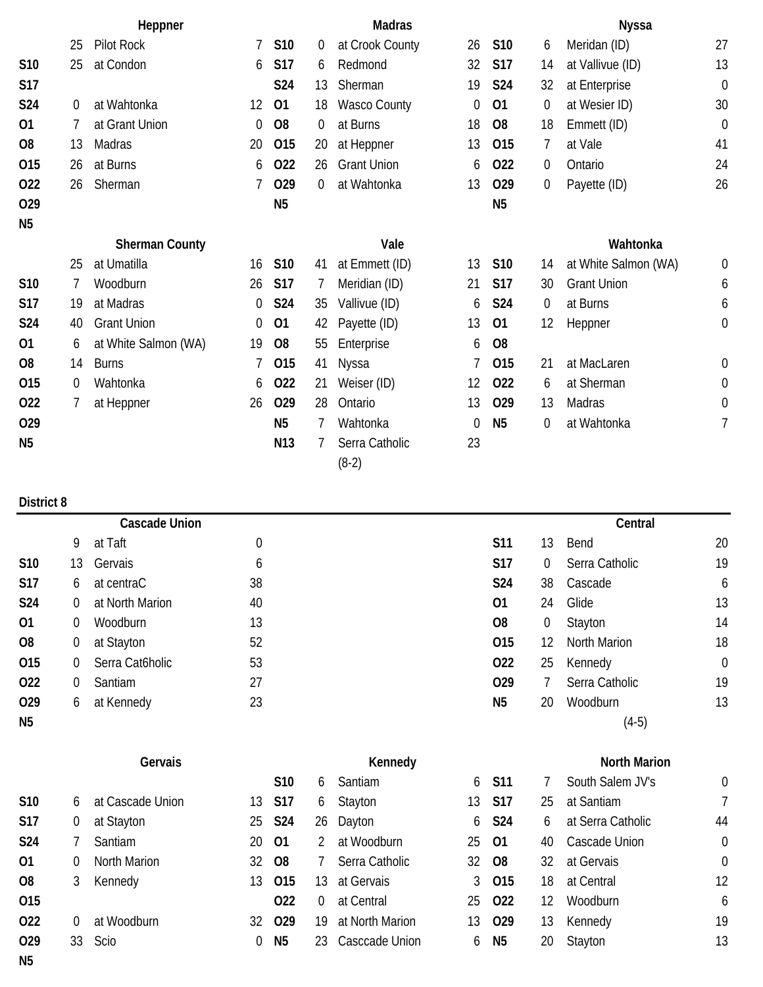|                 | Heppner  |                       |    | <b>Madras</b>  |                |                     |             |                 | <b>Nyssa</b> |                      |                |
|-----------------|----------|-----------------------|----|----------------|----------------|---------------------|-------------|-----------------|--------------|----------------------|----------------|
|                 | 25       | Pilot Rock            | 7  | S10            | $\overline{0}$ | at Crook County     | 26          | <b>S10</b>      | 6            | Meridan (ID)         | 27             |
| S <sub>10</sub> | 25       | at Condon             | 6  | <b>S17</b>     | 6              | Redmond             | 32          | <b>S17</b>      | 14           | at Vallivue (ID)     | 13             |
| <b>S17</b>      |          |                       |    | S24            | 13             | Sherman             | 19          | <b>S24</b>      | 32           | at Enterprise        | $\mathbf 0$    |
| <b>S24</b>      | 0        | at Wahtonka           | 12 | 01             | 18             | <b>Wasco County</b> | 0           | 01              | 0            | at Wesier ID)        | 30             |
| 01              | 7        | at Grant Union        | 0  | O <sub>8</sub> | 0              | at Burns            | 18          | O <sub>8</sub>  | 18           | Emmett (ID)          | $\mathbf 0$    |
| O <sub>8</sub>  | 13       | Madras                | 20 | 015            | 20             | at Heppner          | 13          | 015             | 7            | at Vale              | 41             |
| 015             | 26       | at Burns              | 6  | 022            | 26             | <b>Grant Union</b>  | 6           | O <sub>22</sub> | 0            | Ontario              | 24             |
| 022             | 26       | Sherman               |    | 029            | $\overline{0}$ | at Wahtonka         | 13          | 029             | 0            | Payette (ID)         | 26             |
| 029             |          |                       |    | N <sub>5</sub> |                |                     |             | N <sub>5</sub>  |              |                      |                |
| N <sub>5</sub>  |          |                       |    |                |                |                     |             |                 |              |                      |                |
|                 |          | <b>Sherman County</b> |    |                |                | Vale                |             |                 |              | Wahtonka             |                |
|                 | 25       | at Umatilla           | 16 | S10            | 41             | at Emmett (ID)      | 13          | <b>S10</b>      | 14           | at White Salmon (WA) | $\theta$       |
| S <sub>10</sub> | 7        | Woodburn              | 26 | <b>S17</b>     | 7              | Meridian (ID)       | 21          | <b>S17</b>      | 30           | <b>Grant Union</b>   | 6              |
| <b>S17</b>      | 19       | at Madras             | 0  | S24            | 35             | Vallivue (ID)       | 6           | S24             | 0            | at Burns             | 6              |
| <b>S24</b>      | 40       | <b>Grant Union</b>    | 0  | 01             | 42             | Payette (ID)        | 13          | 01              | 12           | Heppner              | $\mathbf 0$    |
| 01              | 6        | at White Salmon (WA)  | 19 | O <sub>8</sub> | 55             | Enterprise          | 6           | O <sub>8</sub>  |              |                      |                |
| O <sub>8</sub>  | 14       | <b>Burns</b>          |    | 015            | 41             | Nyssa               |             | 015             | 21           | at MacLaren          | $\mathbf 0$    |
| 015             | $\theta$ | Wahtonka              | 6  | 022            | 21             | Weiser (ID)         | 12          | 022             | 6            | at Sherman           | $\mathbf 0$    |
| 022             | 7        | at Heppner            | 26 | 029            | 28             | Ontario             | 13          | 029             | 13           | Madras               | $\mathbf 0$    |
| 029             |          |                       |    | <b>N5</b>      |                | Wahtonka            | $\mathbf 0$ | N <sub>5</sub>  | 0            | at Wahtonka          | $\overline{1}$ |
| N <sub>5</sub>  |          |                       |    | N13            | 7              | Serra Catholic      | 23          |                 |              |                      |                |
|                 |          |                       |    |                |                | $(8-2)$             |             |                 |              |                      |                |

|                 |    | <b>Cascade Union</b> |    | Central        |          |                     |             |  |  |
|-----------------|----|----------------------|----|----------------|----------|---------------------|-------------|--|--|
|                 | 9  | at Taft              | 0  | S11            | 13       | Bend                | 20          |  |  |
| S10             | 13 | Gervais              | 6  | <b>S17</b>     | $\Omega$ | Serra Catholic      | 19          |  |  |
| <b>S17</b>      | 6  | at centraC           | 38 | S24            | 38       | Cascade             | 6           |  |  |
| <b>S24</b>      | 0  | at North Marion      | 40 | 01             | 24       | Glide               | 13          |  |  |
| 01              | 0  | Woodburn             | 13 | O <sub>8</sub> | 0        | Stayton             | 14          |  |  |
| O <sub>8</sub>  | 0  | at Stayton           | 52 | 015            | 12       | <b>North Marion</b> | 18          |  |  |
| 015             | 0  | Serra Cat6holic      | 53 | 022            | 25       | Kennedy             | $\mathbf 0$ |  |  |
| 022             | 0  | Santiam              | 27 | 029            |          | Serra Catholic      | 19          |  |  |
| O <sub>29</sub> | 6  | at Kennedy           | 23 | N <sub>5</sub> | 20       | Woodburn            | 13          |  |  |
| N <sub>5</sub>  |    |                      |    |                |          | $(4-5)$             |             |  |  |

|                 |    |                  |     | S <sub>10</sub> | 6  | Santiam         | 6   | <b>S11</b>      |    | South Salem JV's  | $\overline{0}$ |
|-----------------|----|------------------|-----|-----------------|----|-----------------|-----|-----------------|----|-------------------|----------------|
| <b>S10</b>      | 6. | at Cascade Union | 13. | S17             | 6  | Stayton         | 13  | <b>S17</b>      | 25 | at Santiam        |                |
| <b>S17</b>      | 0  | at Stayton       | 25  | S24             |    | 26 Dayton       |     | 6 S24           | 6  | at Serra Catholic | 44             |
| <b>S24</b>      |    | Santiam          |     | 20 01           |    | at Woodburn     | 25  | - 01            | 40 | Cascade Union     | $\overline{0}$ |
| 01              | 0  | North Marion     |     | 32 08           |    | Serra Catholic  | 32  | -08             | 32 | at Gervais        | $\overline{0}$ |
| 08              | 3  | Kennedy          | 13  | O <sub>15</sub> | 13 | at Gervais      |     | 3 015           | 18 | at Central        | 12             |
| 015             |    |                  |     | 022             | 0  | at Central      | 25. | 022             | 12 | <b>Woodburn</b>   | 6              |
| 022             | 0  | at Woodburn      | 32  | O <sub>29</sub> | 19 | at North Marion | 13  | O <sub>29</sub> | 13 | Kennedy           | 19             |
| O <sub>29</sub> |    | 33 Scio          | 0   | N5              | 23 | Casccade Union  | 6   | N <sub>5</sub>  | 20 | Stayton           | 13             |
| N <sub>5</sub>  |    |                  |     |                 |    |                 |     |                 |    |                   |                |

**Gervais Constanting Constanting Constanting Constanting Constanting Constanting Constanting Constanting Constanting Constanting Constanting Constanting Constanting Constanting Constanting Constanting Constanting Constan**